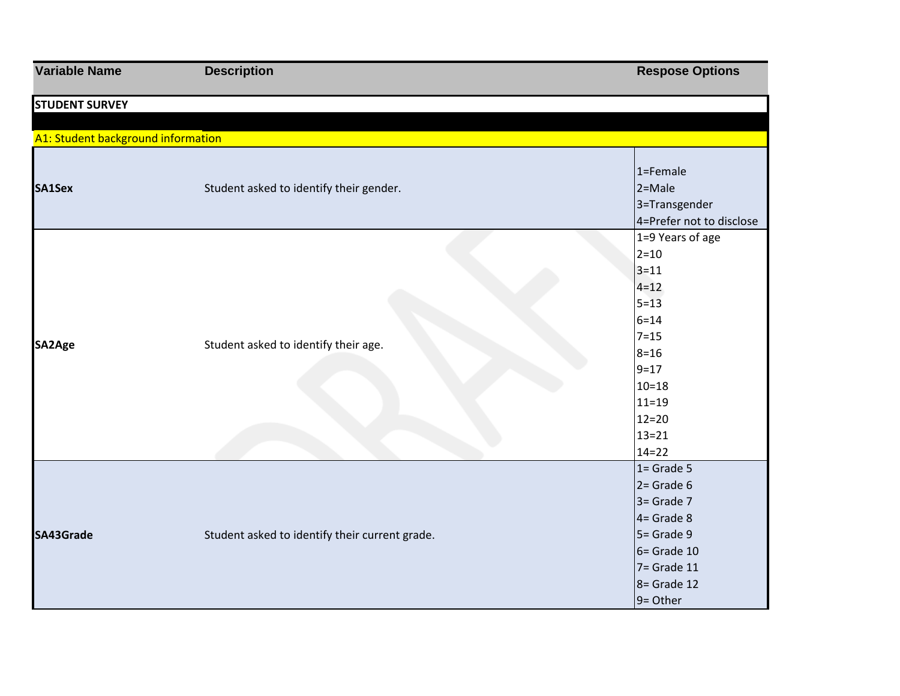| <b>Variable Name</b>               | <b>Description</b>                             | <b>Respose Options</b>                                                                                                                                                        |
|------------------------------------|------------------------------------------------|-------------------------------------------------------------------------------------------------------------------------------------------------------------------------------|
| <b>STUDENT SURVEY</b>              |                                                |                                                                                                                                                                               |
|                                    |                                                |                                                                                                                                                                               |
| A1: Student background information |                                                |                                                                                                                                                                               |
| SA1Sex                             | Student asked to identify their gender.        | $1 =$ Female<br>$2 = Male$<br>3=Transgender                                                                                                                                   |
|                                    |                                                | 4=Prefer not to disclose                                                                                                                                                      |
| SA2Age                             | Student asked to identify their age.           | 1=9 Years of age<br>$2 = 10$<br>$3 = 11$<br>$4 = 12$<br>$5 = 13$<br>$6 = 14$<br>$7 = 15$<br>$8 = 16$<br>$9 = 17$<br>$10 = 18$<br>$11=19$<br>$12=20$<br>$13 = 21$<br>$14 = 22$ |
| SA43Grade                          | Student asked to identify their current grade. | $1 =$ Grade 5<br>$2 =$ Grade 6<br>$3 =$ Grade 7<br>$4 =$ Grade 8<br>$5 =$ Grade 9<br>$6 =$ Grade 10<br>$7 =$ Grade 11<br>$8 =$ Grade 12<br>9= Other                           |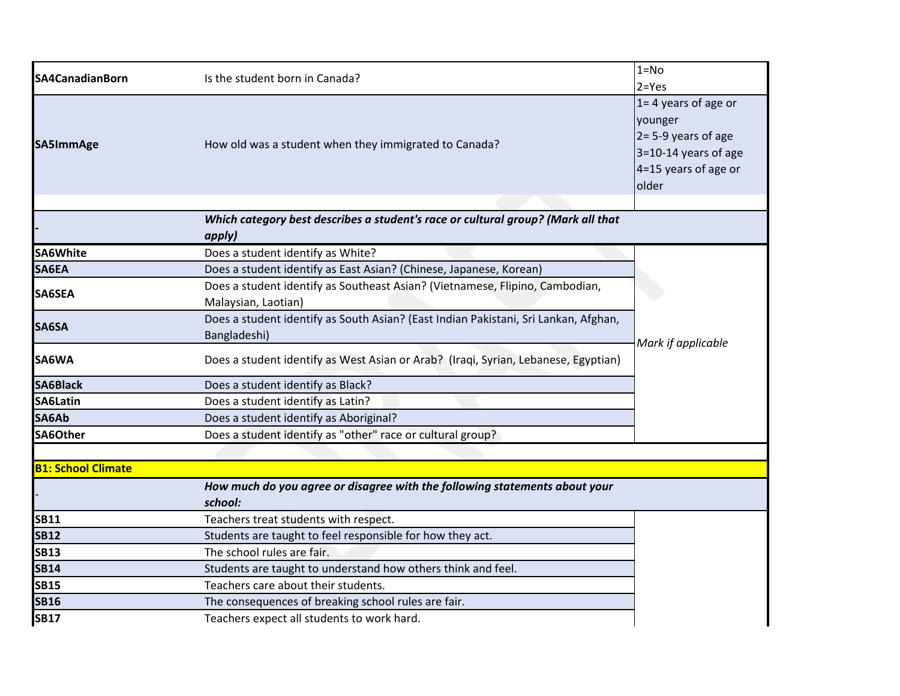| SA4CanadianBorn           | Is the student born in Canada?                                                                      | $1 = No$                |
|---------------------------|-----------------------------------------------------------------------------------------------------|-------------------------|
|                           |                                                                                                     | $2 = Yes$               |
|                           |                                                                                                     | $1 = 4$ years of age or |
|                           |                                                                                                     | younger                 |
| SA5ImmAge                 | How old was a student when they immigrated to Canada?                                               | $2 = 5-9$ years of age  |
|                           |                                                                                                     | 3=10-14 years of age    |
|                           |                                                                                                     | 4=15 years of age or    |
|                           |                                                                                                     | older                   |
|                           | Which category best describes a student's race or cultural group? (Mark all that                    |                         |
|                           | apply)                                                                                              |                         |
| <b>SA6White</b>           | Does a student identify as White?                                                                   |                         |
| SA6EA                     | Does a student identify as East Asian? (Chinese, Japanese, Korean)                                  |                         |
| <b>SA6SEA</b>             | Does a student identify as Southeast Asian? (Vietnamese, Flipino, Cambodian,                        |                         |
|                           | Malaysian, Laotian)                                                                                 |                         |
| SA6SA                     | Does a student identify as South Asian? (East Indian Pakistani, Sri Lankan, Afghan,                 |                         |
|                           | Bangladeshi)                                                                                        | Mark if applicable      |
| SA6WA                     | Does a student identify as West Asian or Arab? (Iraqi, Syrian, Lebanese, Egyptian)                  |                         |
| <b>SA6Black</b>           | Does a student identify as Black?                                                                   |                         |
| SA6Latin                  | Does a student identify as Latin?                                                                   |                         |
| SA6Ab                     | Does a student identify as Aboriginal?                                                              |                         |
| SA6Other                  | Does a student identify as "other" race or cultural group?                                          |                         |
|                           |                                                                                                     |                         |
| <b>B1: School Climate</b> |                                                                                                     |                         |
|                           | How much do you agree or disagree with the following statements about your                          |                         |
| <b>SB11</b>               | school:                                                                                             |                         |
| <b>SB12</b>               | Teachers treat students with respect.                                                               |                         |
|                           | Students are taught to feel responsible for how they act.                                           |                         |
| <b>SB13</b>               | The school rules are fair.                                                                          |                         |
| <b>SB14</b>               | Students are taught to understand how others think and feel.<br>Teachers care about their students. |                         |
| <b>SB15</b>               |                                                                                                     |                         |
| <b>SB16</b>               | The consequences of breaking school rules are fair.                                                 |                         |
| <b>SB17</b>               | Teachers expect all students to work hard.                                                          |                         |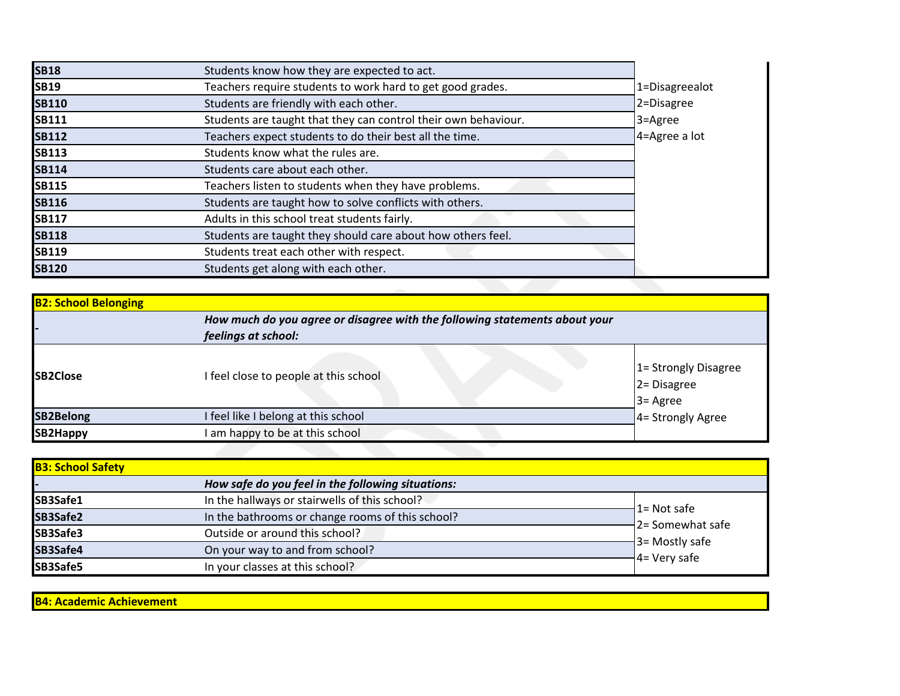| <b>SB18</b>  | Students know how they are expected to act.                    |                |
|--------------|----------------------------------------------------------------|----------------|
| <b>SB19</b>  | Teachers require students to work hard to get good grades.     | 1=Disagreealot |
| <b>SB110</b> | Students are friendly with each other.                         | 2=Disagree     |
| <b>SB111</b> | Students are taught that they can control their own behaviour. | 3=Agree        |
| <b>SB112</b> | Teachers expect students to do their best all the time.        | 4=Agree a lot  |
| <b>SB113</b> | Students know what the rules are.                              |                |
| <b>SB114</b> | Students care about each other.                                |                |
| <b>SB115</b> | Teachers listen to students when they have problems.           |                |
| <b>SB116</b> | Students are taught how to solve conflicts with others.        |                |
| <b>SB117</b> | Adults in this school treat students fairly.                   |                |
| <b>SB118</b> | Students are taught they should care about how others feel.    |                |
| <b>SB119</b> | Students treat each other with respect.                        |                |
| <b>SB120</b> | Students get along with each other.                            |                |

| <b>B2: School Belonging</b> |                                                                                                   |                                                             |
|-----------------------------|---------------------------------------------------------------------------------------------------|-------------------------------------------------------------|
|                             | How much do you agree or disagree with the following statements about your<br>feelings at school: |                                                             |
| <b>SB2Close</b>             | I feel close to people at this school                                                             | 1 = Strongly Disagree<br>2 = Disagree<br>$3 = \text{Agree}$ |
| <b>SB2Belong</b>            | I feel like I belong at this school                                                               | 4= Strongly Agree                                           |
| <b>SB2Happy</b>             | am happy to be at this school                                                                     |                                                             |

| <b>B3: School Safety</b> |                                                   |                                        |
|--------------------------|---------------------------------------------------|----------------------------------------|
|                          | How safe do you feel in the following situations: |                                        |
| SB3Safe1                 | In the hallways or stairwells of this school?     |                                        |
| SB3Safe2                 | In the bathrooms or change rooms of this school?  | $1 =$ Not safe<br>$-2$ = Somewhat safe |
| SB3Safe3                 | Outside or around this school?                    | $-3$ Mostly safe                       |
| SB3Safe4                 | On your way to and from school?                   | $-4$ = Very safe                       |
| SB3Safe5                 | In your classes at this school?                   |                                        |

**B4: Academic Achievement**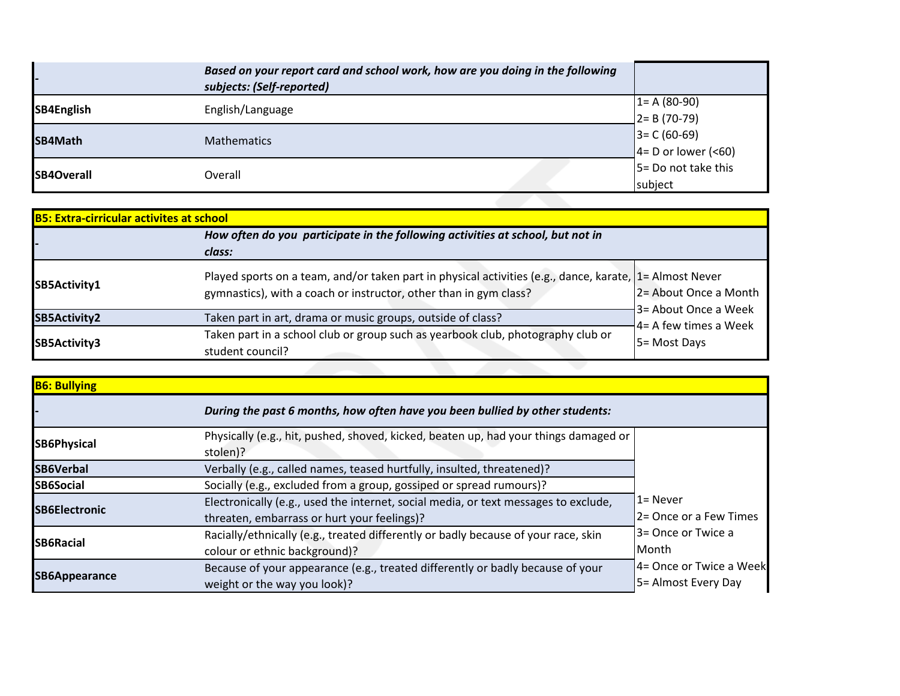|                   | Based on your report card and school work, how are you doing in the following<br>subjects: (Self-reported) |                                           |
|-------------------|------------------------------------------------------------------------------------------------------------|-------------------------------------------|
| SB4English        | English/Language                                                                                           | $1 = A (80-90)$<br>$2 = B(70-79)$         |
| SB4Math           | <b>Mathematics</b>                                                                                         | $3 = C (60-69)$<br>$4 = D$ or lower (<60) |
| <b>SB4Overall</b> | Overall                                                                                                    | 5 = Do not take this<br>subject           |
|                   |                                                                                                            |                                           |

| <b>B5: Extra-cirricular activites at school</b> |                                                                                                                                                                              |                                                                                              |  |
|-------------------------------------------------|------------------------------------------------------------------------------------------------------------------------------------------------------------------------------|----------------------------------------------------------------------------------------------|--|
|                                                 | How often do you participate in the following activities at school, but not in<br>class:                                                                                     |                                                                                              |  |
| SB5Activity1                                    | Played sports on a team, and/or taken part in physical activities (e.g., dance, karate, 1= Almost Never<br>gymnastics), with a coach or instructor, other than in gym class? | 2 = About Once a Month<br>3 = About Once a Week<br>$4 = A$ few times a Week<br>5 = Most Days |  |
| SB5Activity2                                    | Taken part in art, drama or music groups, outside of class?                                                                                                                  |                                                                                              |  |
| SB5Activity3                                    | Taken part in a school club or group such as yearbook club, photography club or<br>student council?                                                                          |                                                                                              |  |

| <b>B6: Bullying</b>  |                                                                                                                                    |                                                 |
|----------------------|------------------------------------------------------------------------------------------------------------------------------------|-------------------------------------------------|
|                      | During the past 6 months, how often have you been bullied by other students:                                                       |                                                 |
| <b>SB6Physical</b>   | Physically (e.g., hit, pushed, shoved, kicked, beaten up, had your things damaged or<br>stolen)?                                   |                                                 |
| <b>SB6Verbal</b>     | Verbally (e.g., called names, teased hurtfully, insulted, threatened)?                                                             |                                                 |
| <b>SB6Social</b>     | Socially (e.g., excluded from a group, gossiped or spread rumours)?                                                                |                                                 |
| <b>SB6Electronic</b> | Electronically (e.g., used the internet, social media, or text messages to exclude,<br>threaten, embarrass or hurt your feelings)? | l 1= Never<br>2= Once or a Few Times            |
| <b>SB6Racial</b>     | Racially/ethnically (e.g., treated differently or badly because of your race, skin<br>colour or ethnic background)?                | 3 = Once or Twice a<br>Month                    |
| SB6Appearance        | Because of your appearance (e.g., treated differently or badly because of your<br>weight or the way you look)?                     | 4= Once or Twice a Week<br>5 = Almost Every Day |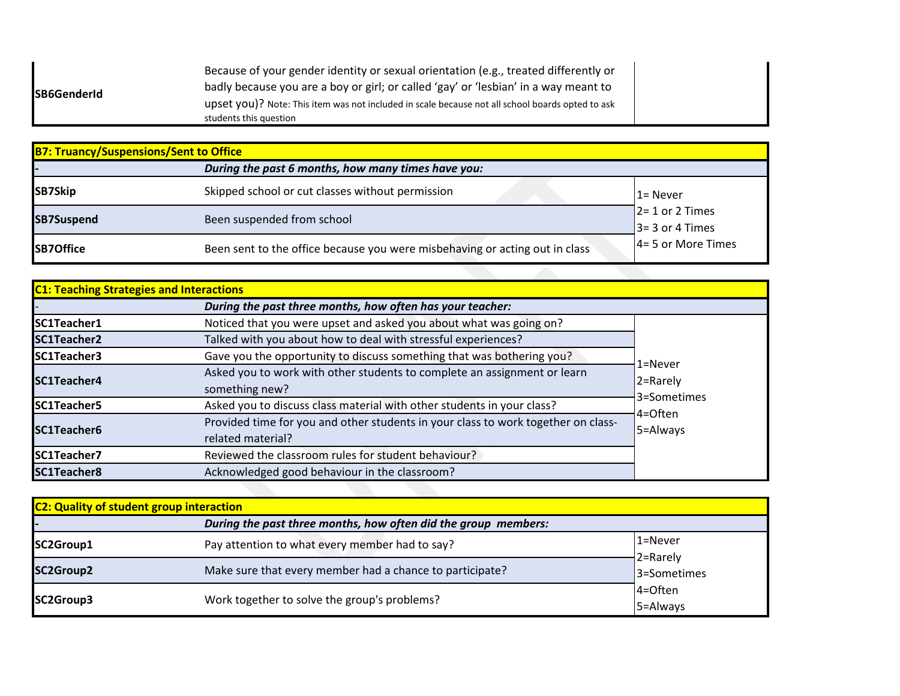|--|

| <b>B7: Truancy/Suspensions/Sent to Office</b> |                                                                             |                                          |  |
|-----------------------------------------------|-----------------------------------------------------------------------------|------------------------------------------|--|
|                                               | During the past 6 months, how many times have you:                          |                                          |  |
| SB7Skip                                       | Skipped school or cut classes without permission                            | l 1= Never                               |  |
| <b>SB7Suspend</b>                             | Been suspended from school                                                  | $2 = 1$ or 2 Times<br>$3 = 3$ or 4 Times |  |
| <b>SB7Office</b>                              | Been sent to the office because you were misbehaving or acting out in class | $4 = 5$ or More Times                    |  |

| <b>C1: Teaching Strategies and Interactions</b> | During the past three months, how often has your teacher:                                              |                                                           |
|-------------------------------------------------|--------------------------------------------------------------------------------------------------------|-----------------------------------------------------------|
| SC1Teacher1                                     | Noticed that you were upset and asked you about what was going on?                                     |                                                           |
| <b>SC1Teacher2</b>                              | Talked with you about how to deal with stressful experiences?                                          |                                                           |
| <b>ISC1Teacher3</b>                             | Gave you the opportunity to discuss something that was bothering you?                                  | 1=Never<br>2=Rarely<br>3=Sometimes<br>4=Often<br>5=Always |
| <b>SC1Teacher4</b>                              | Asked you to work with other students to complete an assignment or learn<br>something new?             |                                                           |
| SC1Teacher5                                     | Asked you to discuss class material with other students in your class?                                 |                                                           |
| <b>SC1Teacher6</b>                              | Provided time for you and other students in your class to work together on class-<br>related material? |                                                           |
| SC1Teacher7                                     | Reviewed the classroom rules for student behaviour?                                                    |                                                           |
| SC1Teacher8                                     | Acknowledged good behaviour in the classroom?                                                          |                                                           |

| <b>C2: Quality of student group interaction</b> |                                                                |                         |  |
|-------------------------------------------------|----------------------------------------------------------------|-------------------------|--|
|                                                 | During the past three months, how often did the group members: |                         |  |
| SC2Group1                                       | Pay attention to what every member had to say?                 | 1=Never<br>2=Rarely     |  |
| <b>SC2Group2</b>                                | Make sure that every member had a chance to participate?       | 3=Sometimes             |  |
| SC2Group3                                       | Work together to solve the group's problems?                   | $4 =$ Often<br>5=Always |  |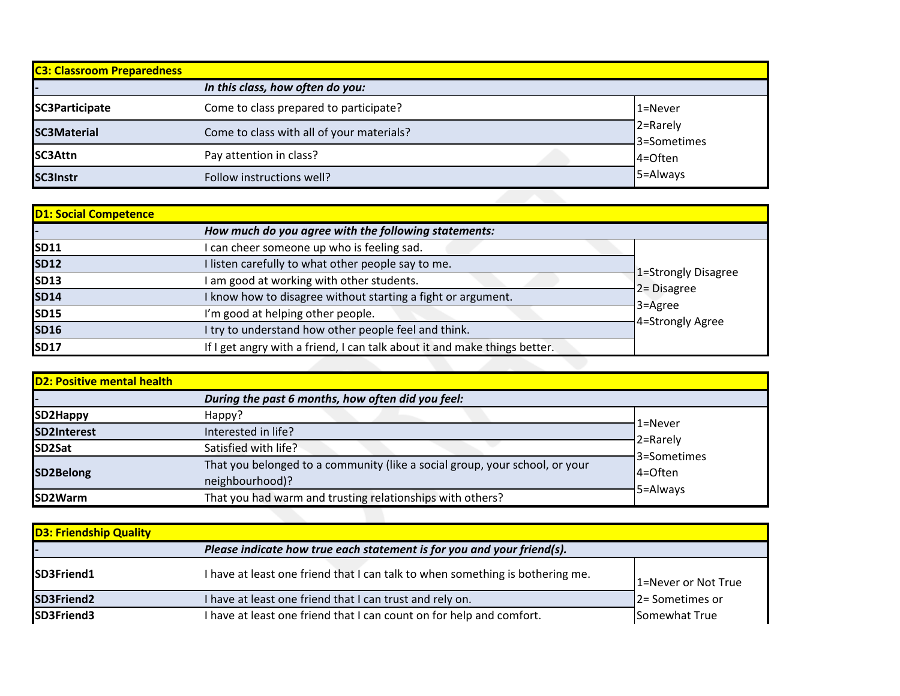| <b>C3: Classroom Preparedness</b> |                                           |                          |
|-----------------------------------|-------------------------------------------|--------------------------|
|                                   | In this class, how often do you:          |                          |
| SC3Participate                    | Come to class prepared to participate?    | 1=Never                  |
| <b>SC3Material</b>                | Come to class with all of your materials? | 2=Rarely<br>43=Sometimes |
| SC3Attn                           | Pay attention in class?                   | 4=Often                  |
| <b>SC3Instr</b>                   | Follow instructions well?                 | 5=Always                 |

| <b>D1: Social Competence</b> |                                                                           |                             |
|------------------------------|---------------------------------------------------------------------------|-----------------------------|
|                              | How much do you agree with the following statements:                      |                             |
| <b>SD11</b>                  | I can cheer someone up who is feeling sad.                                |                             |
| <b>SD12</b>                  | I listen carefully to what other people say to me.                        |                             |
| <b>SD13</b>                  | I am good at working with other students.                                 | 1=Strongly Disagree         |
| <b>SD14</b>                  | I know how to disagree without starting a fight or argument.              | 2 = Disagree                |
| <b>SD15</b>                  | I'm good at helping other people.                                         | 3=Agree<br>4=Strongly Agree |
| <b>SD16</b>                  | I try to understand how other people feel and think.                      |                             |
| <b>SD17</b>                  | If I get angry with a friend, I can talk about it and make things better. |                             |

| <b>D2: Positive mental health</b> |                                                                              |                         |
|-----------------------------------|------------------------------------------------------------------------------|-------------------------|
|                                   | During the past 6 months, how often did you feel:                            |                         |
| SD2Happy                          | Happy?                                                                       |                         |
| SD2Interest                       | Interested in life?                                                          | $1 =$ Never             |
| SD <sub>2</sub> Sat               | Satisfied with life?                                                         | 2=Rarely<br>3=Sometimes |
| SD2Belong                         | That you belonged to a community (like a social group, your school, or your  | 4=Often                 |
| <b>ISD2Warm</b>                   | neighbourhood)?<br>That you had warm and trusting relationships with others? | 5=Always                |

| <b>D3: Friendship Quality</b> |                                                                               |                     |
|-------------------------------|-------------------------------------------------------------------------------|---------------------|
|                               | Please indicate how true each statement is for you and your friend(s).        |                     |
| SD3Friend1                    | I have at least one friend that I can talk to when something is bothering me. | 1=Never or Not True |
| SD3Friend2                    | I have at least one friend that I can trust and rely on.                      | 2 = Sometimes or    |
| SD3Friend3                    | I have at least one friend that I can count on for help and comfort.          | Somewhat True       |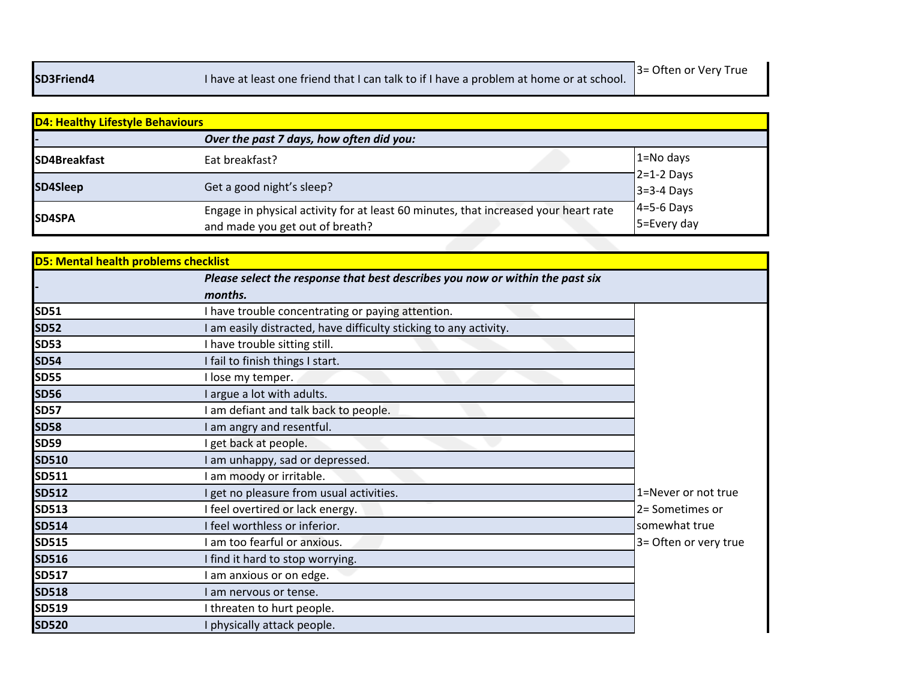| <b>D4: Healthy Lifestyle Behaviours</b> |                                                                                                                        |                              |
|-----------------------------------------|------------------------------------------------------------------------------------------------------------------------|------------------------------|
|                                         | Over the past 7 days, how often did you:                                                                               |                              |
| <b>SD4Breakfast</b>                     | Eat breakfast?                                                                                                         | 1=No days                    |
| SD4Sleep                                | Get a good night's sleep?                                                                                              | $2=1-2$ Days<br>$3=3-4$ Days |
| <b>SD4SPA</b>                           | Engage in physical activity for at least 60 minutes, that increased your heart rate<br>and made you get out of breath? | $4=5-6$ Days<br>5=Every day  |

| <b>D5: Mental health problems checklist</b> |                                                                               |                       |
|---------------------------------------------|-------------------------------------------------------------------------------|-----------------------|
|                                             | Please select the response that best describes you now or within the past six |                       |
|                                             | months.                                                                       |                       |
| <b>SD51</b>                                 | I have trouble concentrating or paying attention.                             |                       |
| <b>SD52</b>                                 | I am easily distracted, have difficulty sticking to any activity.             |                       |
| <b>SD53</b>                                 | I have trouble sitting still.                                                 |                       |
| <b>SD54</b>                                 | I fail to finish things I start.                                              |                       |
| <b>SD55</b>                                 | I lose my temper.                                                             |                       |
| <b>SD56</b>                                 | I argue a lot with adults.                                                    |                       |
| <b>SD57</b>                                 | am defiant and talk back to people.                                           |                       |
| <b>SD58</b>                                 | I am angry and resentful.                                                     |                       |
| <b>SD59</b>                                 | I get back at people.                                                         |                       |
| <b>SD510</b>                                | I am unhappy, sad or depressed.                                               |                       |
| SD511                                       | am moody or irritable.                                                        |                       |
| <b>SD512</b>                                | I get no pleasure from usual activities.                                      | 1=Never or not true   |
| <b>SD513</b>                                | I feel overtired or lack energy.                                              | 2= Sometimes or       |
| <b>SD514</b>                                | I feel worthless or inferior.                                                 | somewhat true         |
| <b>SD515</b>                                | I am too fearful or anxious.                                                  | 3= Often or very true |
| <b>SD516</b>                                | I find it hard to stop worrying.                                              |                       |
| <b>SD517</b>                                | am anxious or on edge.                                                        |                       |
| <b>SD518</b>                                | I am nervous or tense.                                                        |                       |
| <b>SD519</b>                                | I threaten to hurt people.                                                    |                       |
| <b>SD520</b>                                | physically attack people.                                                     |                       |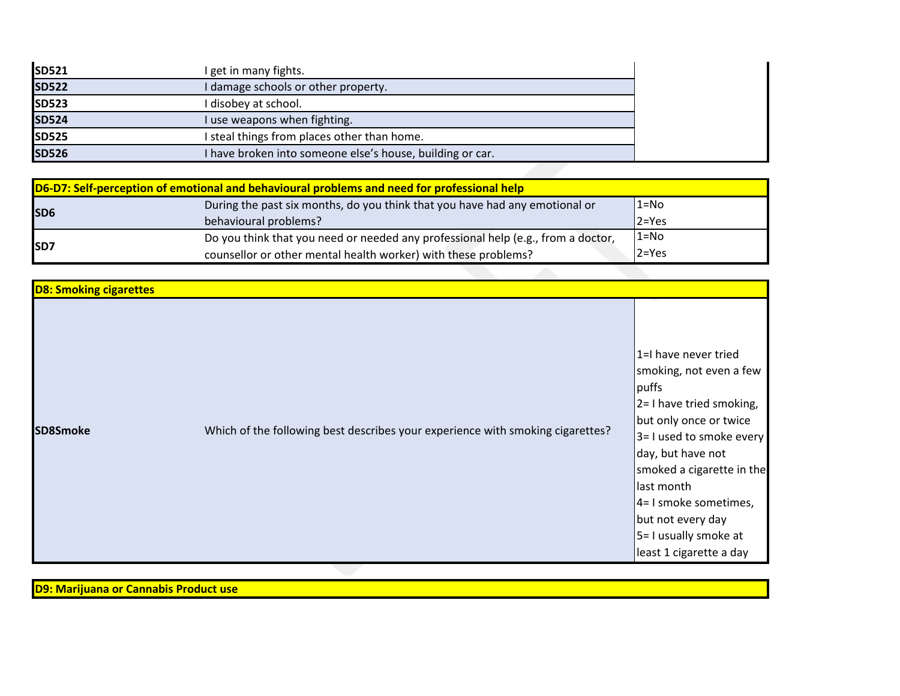| <b>SD521</b> | I get in many fights.                                     |
|--------------|-----------------------------------------------------------|
| <b>SD522</b> | I damage schools or other property.                       |
| <b>SD523</b> | I disobey at school.                                      |
| <b>SD524</b> | I use weapons when fighting.                              |
| <b>SD525</b> | I steal things from places other than home.               |
| <b>SD526</b> | I have broken into someone else's house, building or car. |

| D6-D7: Self-perception of emotional and behavioural problems and need for professional help |                                                                                  |           |
|---------------------------------------------------------------------------------------------|----------------------------------------------------------------------------------|-----------|
| <b>SD6</b>                                                                                  | During the past six months, do you think that you have had any emotional or      | $1 = No$  |
|                                                                                             | behavioural problems?                                                            | $ 2=Yes$  |
| <b>ISD7</b>                                                                                 | Do you think that you need or needed any professional help (e.g., from a doctor, | $1 = No$  |
|                                                                                             | counsellor or other mental health worker) with these problems?                   | $2 = Yes$ |

| 1=I have never tried<br>smoking, not even a few<br>puffs<br>$2 = 1$ have tried smoking,<br>but only once or twice<br>Which of the following best describes your experience with smoking cigarettes?<br>SD8Smoke<br>3= I used to smoke every<br>day, but have not<br>last month<br>4= I smoke sometimes,<br>but not every day<br>5 = I usually smoke at<br>least 1 cigarette a day | <b>D8: Smoking cigarettes</b> |  |                           |
|-----------------------------------------------------------------------------------------------------------------------------------------------------------------------------------------------------------------------------------------------------------------------------------------------------------------------------------------------------------------------------------|-------------------------------|--|---------------------------|
|                                                                                                                                                                                                                                                                                                                                                                                   |                               |  | smoked a cigarette in the |

**D9: Marijuana or Cannabis Product use**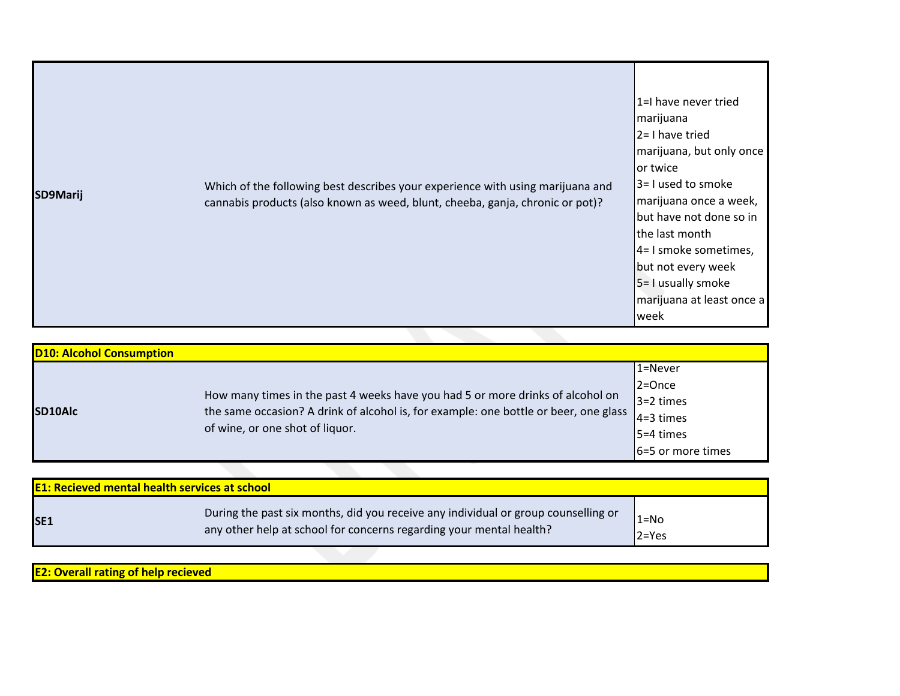| Which of the following best describes your experience with using marijuana and<br>SD9Marij<br>cannabis products (also known as weed, blunt, cheeba, ganja, chronic or pot)? | 1=I have never tried<br>marijuana<br>$2 = 1$ have tried<br>marijuana, but only once<br>lor twice<br>3= I used to smoke<br>marijuana once a week,<br>but have not done so in<br>the last month<br>$4=1$ smoke sometimes,<br>but not every week<br>5 = I usually smoke<br>marijuana at least once a<br>week |
|-----------------------------------------------------------------------------------------------------------------------------------------------------------------------------|-----------------------------------------------------------------------------------------------------------------------------------------------------------------------------------------------------------------------------------------------------------------------------------------------------------|
|-----------------------------------------------------------------------------------------------------------------------------------------------------------------------------|-----------------------------------------------------------------------------------------------------------------------------------------------------------------------------------------------------------------------------------------------------------------------------------------------------------|

| <b>D10: Alcohol Consumption</b> |                                                                                                                                                                                                                                       |
|---------------------------------|---------------------------------------------------------------------------------------------------------------------------------------------------------------------------------------------------------------------------------------|
|                                 | 1=Never                                                                                                                                                                                                                               |
|                                 | $2 =$ Once                                                                                                                                                                                                                            |
|                                 | $3=2 \times 1$                                                                                                                                                                                                                        |
|                                 |                                                                                                                                                                                                                                       |
|                                 | $5 = 4$ times                                                                                                                                                                                                                         |
|                                 | 6=5 or more times                                                                                                                                                                                                                     |
|                                 | How many times in the past 4 weeks have you had 5 or more drinks of alcohol on<br>the same occasion? A drink of alcohol is, for example: one bottle or beer, one glass $\vert_{4=3 \text{ times}}$<br>of wine, or one shot of liquor. |

| <b>E1: Recieved mental health services at school</b> |                                                                                                                                                           |                        |
|------------------------------------------------------|-----------------------------------------------------------------------------------------------------------------------------------------------------------|------------------------|
| <b>SE1</b>                                           | During the past six months, did you receive any individual or group counselling or<br>any other help at school for concerns regarding your mental health? | $"1 = No$<br>$2 = Yes$ |
|                                                      |                                                                                                                                                           |                        |

| <b>IE2: Overall r</b><br><u>recleved</u><br>атіну от |  |  |
|------------------------------------------------------|--|--|
|                                                      |  |  |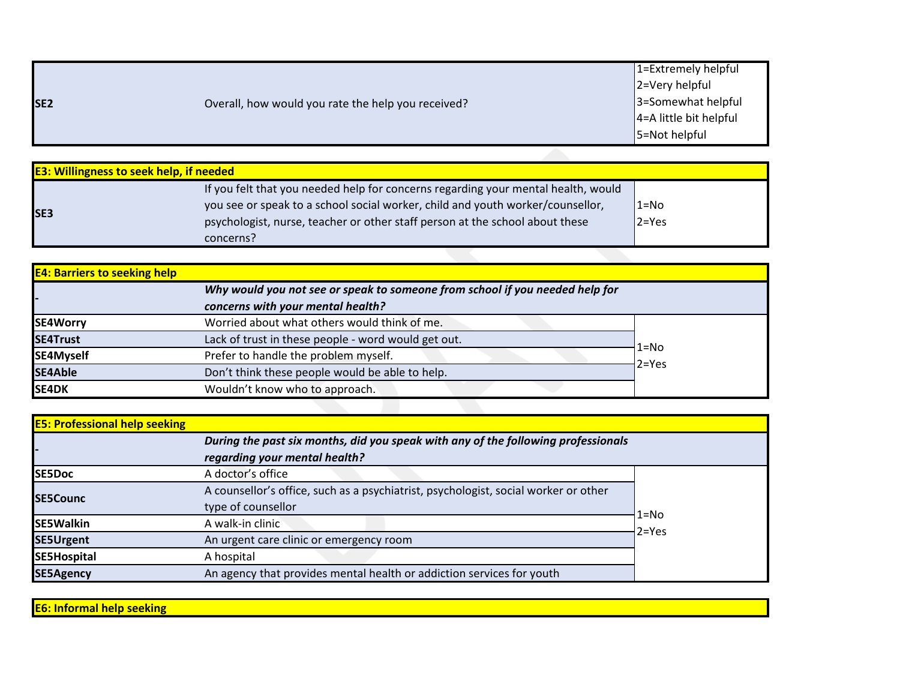|                 |                                                    | $\vert$ 1=Extremely helpful |
|-----------------|----------------------------------------------------|-----------------------------|
|                 |                                                    | $ 2=V$ ery helpful          |
| SE <sub>2</sub> | Overall, how would you rate the help you received? | 3=Somewhat helpful          |
|                 |                                                    | $4 = A$ little bit helpful  |
|                 |                                                    | 5=Not helpful               |

| <b>E3: Willingness to seek help, if needed</b> |                                                                                                                                                                                                                                                                  |                         |  |
|------------------------------------------------|------------------------------------------------------------------------------------------------------------------------------------------------------------------------------------------------------------------------------------------------------------------|-------------------------|--|
| <b>SE3</b>                                     | If you felt that you needed help for concerns regarding your mental health, would<br>you see or speak to a school social worker, child and youth worker/counsellor,<br>psychologist, nurse, teacher or other staff person at the school about these<br>concerns? | $12 = No$<br>$12 = Yes$ |  |
|                                                |                                                                                                                                                                                                                                                                  |                         |  |

| <b>E4: Barriers to seeking help</b> |                                                     |                                                                              |  |
|-------------------------------------|-----------------------------------------------------|------------------------------------------------------------------------------|--|
|                                     |                                                     | Why would you not see or speak to someone from school if you needed help for |  |
|                                     | concerns with your mental health?                   |                                                                              |  |
| <b>SE4Worry</b>                     | Worried about what others would think of me.        |                                                                              |  |
| SE4Trust                            | Lack of trust in these people - word would get out. | $1 = No$                                                                     |  |
| SE4Myself                           | Prefer to handle the problem myself.                | $2 = Yes$                                                                    |  |
| <b>SE4Able</b>                      | Don't think these people would be able to help.     |                                                                              |  |
| <b>SE4DK</b>                        | Wouldn't know who to approach.                      |                                                                              |  |
|                                     |                                                     |                                                                              |  |

| <b>E5: Professional help seeking</b>                                              |                                                                                     |           |
|-----------------------------------------------------------------------------------|-------------------------------------------------------------------------------------|-----------|
| During the past six months, did you speak with any of the following professionals |                                                                                     |           |
|                                                                                   | regarding your mental health?                                                       |           |
| <b>ISE5Doc</b>                                                                    | A doctor's office                                                                   |           |
| <b>ISE5Counc</b>                                                                  | A counsellor's office, such as a psychiatrist, psychologist, social worker or other |           |
|                                                                                   | type of counsellor                                                                  | $1 = No$  |
| <b>SE5Walkin</b>                                                                  | A walk-in clinic                                                                    | $2 = Yes$ |
| <b>SE5Urgent</b>                                                                  | An urgent care clinic or emergency room                                             |           |
| SE5Hospital                                                                       | A hospital                                                                          |           |
| <b>SE5Agency</b>                                                                  | An agency that provides mental health or addiction services for youth               |           |

**E6: Informal help seeking**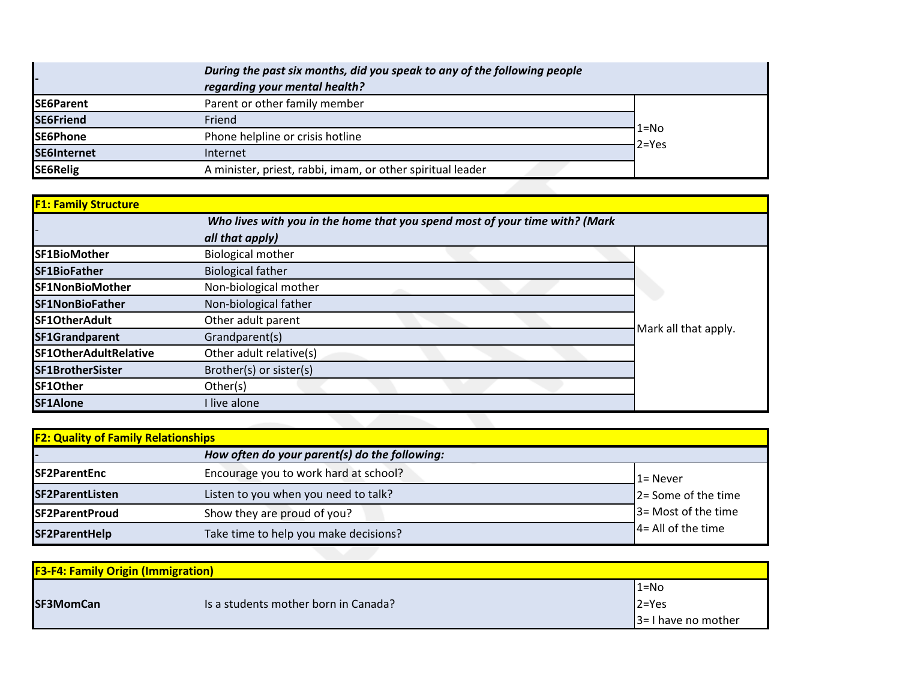|                    | During the past six months, did you speak to any of the following people<br>regarding your mental health? |           |
|--------------------|-----------------------------------------------------------------------------------------------------------|-----------|
| SE6Parent          | Parent or other family member                                                                             |           |
| <b>SE6Friend</b>   | Friend                                                                                                    | $1 = No$  |
| SE6Phone           | Phone helpline or crisis hotline                                                                          |           |
| <b>SE6Internet</b> | Internet                                                                                                  | $2 = Yes$ |
| <b>SE6Relig</b>    | A minister, priest, rabbi, imam, or other spiritual leader                                                |           |
|                    |                                                                                                           |           |

| <b>F1: Family Structure</b> |                                                                             |                      |
|-----------------------------|-----------------------------------------------------------------------------|----------------------|
|                             | Who lives with you in the home that you spend most of your time with? (Mark |                      |
|                             | all that apply)                                                             |                      |
| <b>SF1BioMother</b>         | <b>Biological mother</b>                                                    |                      |
| <b>SF1BioFather</b>         | <b>Biological father</b>                                                    |                      |
| <b>SF1NonBioMother</b>      | Non-biological mother                                                       |                      |
| <b>SF1NonBioFather</b>      | Non-biological father                                                       |                      |
| <b>SF1OtherAdult</b>        | Other adult parent                                                          | Mark all that apply. |
| <b>SF1Grandparent</b>       | Grandparent(s)                                                              |                      |
| SF1OtherAdultRelative       | Other adult relative(s)                                                     |                      |
| SF1BrotherSister            | Brother(s) or sister(s)                                                     |                      |
| SF1Other                    | Other(s)                                                                    |                      |
| SF1Alone                    | I live alone                                                                |                      |

| <b>F2: Quality of Family Relationships</b> |                                               |                                   |  |
|--------------------------------------------|-----------------------------------------------|-----------------------------------|--|
|                                            | How often do your parent(s) do the following: |                                   |  |
| <b>ISF2ParentEnc</b>                       | Encourage you to work hard at school?         | 1= Never                          |  |
| SF2ParentListen                            | Listen to you when you need to talk?          | $ 2=$ Some of the time            |  |
| <b>SF2ParentProud</b>                      | Show they are proud of you?                   | 3 = Most of the time              |  |
| SF2ParentHelp                              | Take time to help you make decisions?         | $\overline{1}$ 4= All of the time |  |

| <b>F3-F4: Family Origin (Immigration)</b> |                                      |                       |  |
|-------------------------------------------|--------------------------------------|-----------------------|--|
|                                           |                                      | $1 = No$              |  |
| <b>SF3MomCan</b>                          | Is a students mother born in Canada? | $ 2=Yes$              |  |
|                                           |                                      | $ 3=1$ have no mother |  |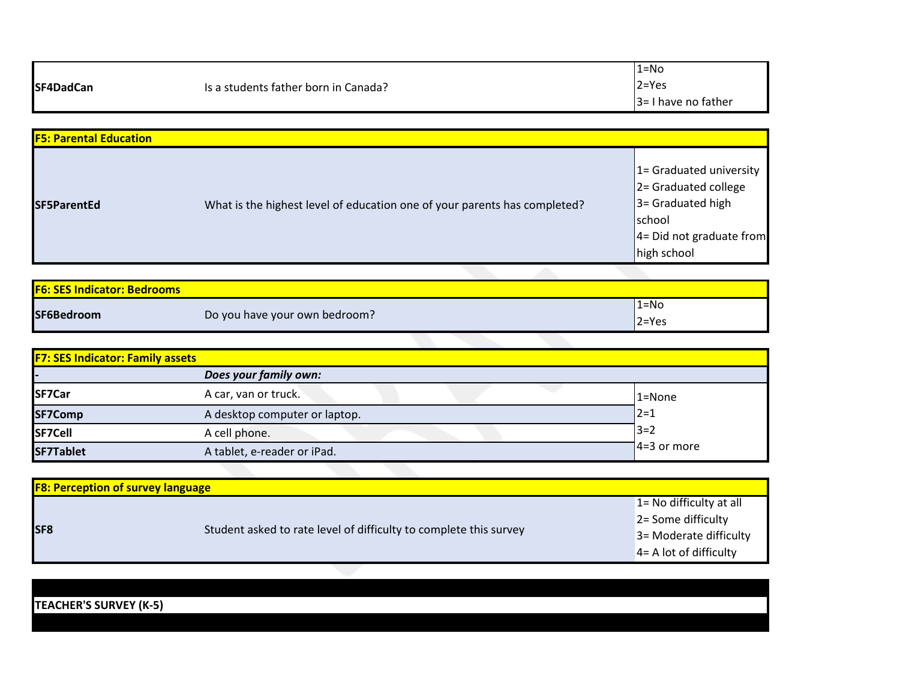| SF4DadCan | Is a students father born in Canada? | $1 = No$               |
|-----------|--------------------------------------|------------------------|
|           |                                      | $2 = Yes$              |
|           |                                      | $3 = 1$ have no father |

| <b>F5: Parental Education</b> |                                                                           |                                                                                                                                    |
|-------------------------------|---------------------------------------------------------------------------|------------------------------------------------------------------------------------------------------------------------------------|
| <b>ISF5ParentEd</b>           | What is the highest level of education one of your parents has completed? | 1= Graduated university<br>$ 2=$ Graduated college<br>$3 =$ Graduated high<br>school<br>$4 = Did not graduate from$<br>high school |

| <b>F6: SES Indicator: Bedrooms</b> |                               |           |  |
|------------------------------------|-------------------------------|-----------|--|
|                                    |                               | l1=No     |  |
| SF6Bedroom                         | Do you have your own bedroom? | $2 = Yes$ |  |

| <b>F7: SES Indicator: Family assets</b> |                               |                |  |
|-----------------------------------------|-------------------------------|----------------|--|
|                                         | Does your family own:         |                |  |
| SF7Car                                  | A car, van or truck.          | $1 = None$     |  |
| SF7Comp                                 | A desktop computer or laptop. | $12 = 1$       |  |
| SF7Cell                                 | A cell phone.                 | $3 = 2$        |  |
| SF7Tablet                               | A tablet, e-reader or iPad.   | $14=3$ or more |  |

| <b>F8: Perception of survey language</b> |                                                                   |                                                                                                          |  |  |
|------------------------------------------|-------------------------------------------------------------------|----------------------------------------------------------------------------------------------------------|--|--|
| <b>SF8</b>                               | Student asked to rate level of difficulty to complete this survey | $1 = No$ difficulty at all<br>2 = Some difficulty<br>3= Moderate difficulty<br>$4 = A$ lot of difficulty |  |  |

**TEACHER'S SURVEY (K-5)**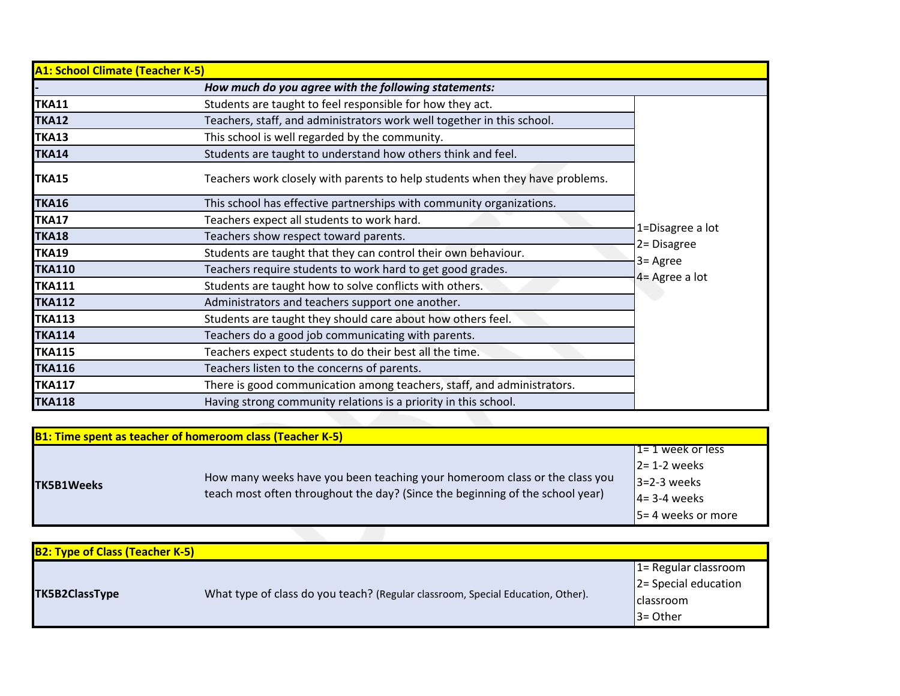| <b>A1: School Climate (Teacher K-5)</b> |                                                                              |                            |
|-----------------------------------------|------------------------------------------------------------------------------|----------------------------|
|                                         | How much do you agree with the following statements:                         |                            |
| TKA11                                   | Students are taught to feel responsible for how they act.                    |                            |
| TKA12                                   | Teachers, staff, and administrators work well together in this school.       |                            |
| TKA13                                   | This school is well regarded by the community.                               |                            |
| TKA14                                   | Students are taught to understand how others think and feel.                 |                            |
| TKA15                                   | Teachers work closely with parents to help students when they have problems. |                            |
| <b>TKA16</b>                            | This school has effective partnerships with community organizations.         |                            |
| TKA17                                   | Teachers expect all students to work hard.                                   |                            |
| TKA18                                   | Teachers show respect toward parents.                                        | 1=Disagree a lot           |
| <b>TKA19</b>                            | Students are taught that they can control their own behaviour.               | 2= Disagree                |
| <b>TKA110</b>                           | Teachers require students to work hard to get good grades.                   | 3= Agree<br>4= Agree a lot |
| <b>TKA111</b>                           | Students are taught how to solve conflicts with others.                      |                            |
| <b>TKA112</b>                           | Administrators and teachers support one another.                             |                            |
| <b>TKA113</b>                           | Students are taught they should care about how others feel.                  |                            |
| <b>TKA114</b>                           | Teachers do a good job communicating with parents.                           |                            |
| <b>TKA115</b>                           | Teachers expect students to do their best all the time.                      |                            |
| <b>TKA116</b>                           | Teachers listen to the concerns of parents.                                  |                            |
| <b>TKA117</b>                           | There is good communication among teachers, staff, and administrators.       |                            |
| <b>TKA118</b>                           | Having strong community relations is a priority in this school.              |                            |

|                   | <b>B1: Time spent as teacher of homeroom class (Teacher K-5)</b>                                                                                            |                           |
|-------------------|-------------------------------------------------------------------------------------------------------------------------------------------------------------|---------------------------|
|                   |                                                                                                                                                             | $1 = 1$ week or less      |
| <b>TK5B1Weeks</b> | How many weeks have you been teaching your homeroom class or the class you<br>teach most often throughout the day? (Since the beginning of the school year) | $\triangle$ 2 = 1-2 weeks |
|                   |                                                                                                                                                             | $13=2-3$ weeks            |
|                   |                                                                                                                                                             | $ 4=3-4$ weeks            |
|                   |                                                                                                                                                             | 15 = 4 weeks or more      |

| <b>B2: Type of Class (Teacher K-5)</b> |                                                                                 |                                                        |
|----------------------------------------|---------------------------------------------------------------------------------|--------------------------------------------------------|
|                                        |                                                                                 | $\sqrt{1}$ = Regular classroom<br>2= Special education |
|                                        | What type of class do you teach? (Regular classroom, Special Education, Other). |                                                        |
| <b>TK5B2ClassType</b>                  |                                                                                 | <b>I</b> classroom                                     |
|                                        |                                                                                 | $3 = Other$                                            |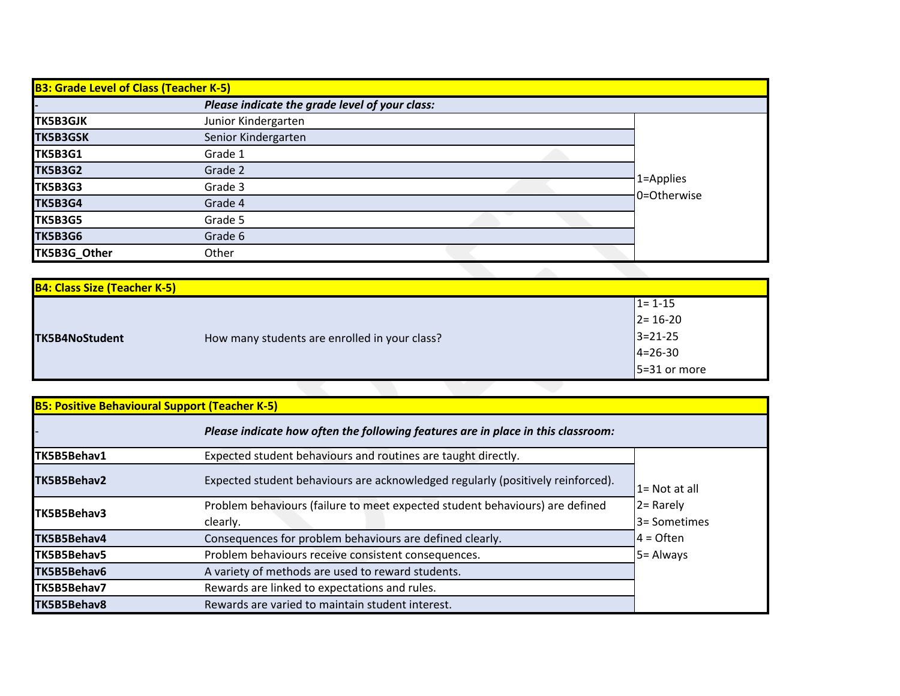| <b>B3: Grade Level of Class (Teacher K-5)</b> |                                                |                          |  |
|-----------------------------------------------|------------------------------------------------|--------------------------|--|
|                                               | Please indicate the grade level of your class: |                          |  |
| <b>TK5B3GJK</b>                               | Junior Kindergarten                            |                          |  |
| <b>TK5B3GSK</b>                               | Senior Kindergarten                            |                          |  |
| <b>TK5B3G1</b>                                | Grade 1                                        | 1=Applies<br>0=Otherwise |  |
| <b>TK5B3G2</b>                                | Grade 2                                        |                          |  |
| <b>TK5B3G3</b>                                | Grade 3                                        |                          |  |
| <b>TK5B3G4</b>                                | Grade 4                                        |                          |  |
| <b>TK5B3G5</b>                                | Grade 5                                        |                          |  |
| <b>TK5B3G6</b>                                | Grade 6                                        |                          |  |
| TK5B3G_Other                                  | Other                                          |                          |  |

| <b>B4: Class Size (Teacher K-5)</b> |                                               |                |
|-------------------------------------|-----------------------------------------------|----------------|
|                                     |                                               | $1 = 1 - 15$   |
|                                     |                                               | $2 = 16 - 20$  |
| TK5B4NoStudent                      | How many students are enrolled in your class? | $3 = 21 - 25$  |
|                                     |                                               | $4 = 26 - 30$  |
|                                     |                                               | $5=31$ or more |
|                                     |                                               |                |

| <b>B5: Positive Behavioural Support (Teacher K-5)</b> |                                                                                  |               |
|-------------------------------------------------------|----------------------------------------------------------------------------------|---------------|
|                                                       | Please indicate how often the following features are in place in this classroom: |               |
| TK5B5Behav1                                           | Expected student behaviours and routines are taught directly.                    |               |
| TK5B5Behav2                                           | Expected student behaviours are acknowledged regularly (positively reinforced).  | 1= Not at all |
| TK5B5Behav3                                           | Problem behaviours (failure to meet expected student behaviours) are defined     | $2 =$ Rarely  |
|                                                       | clearly.                                                                         | 3 = Sometimes |
| <b>TK5B5Behav4</b>                                    | Consequences for problem behaviours are defined clearly.                         | $4 =$ Often   |
| TK5B5Behav5                                           | Problem behaviours receive consistent consequences.                              | 5 = Always    |
| TK5B5Behav6                                           | A variety of methods are used to reward students.                                |               |
| TK5B5Behav7                                           | Rewards are linked to expectations and rules.                                    |               |
| TK5B5Behav8                                           | Rewards are varied to maintain student interest.                                 |               |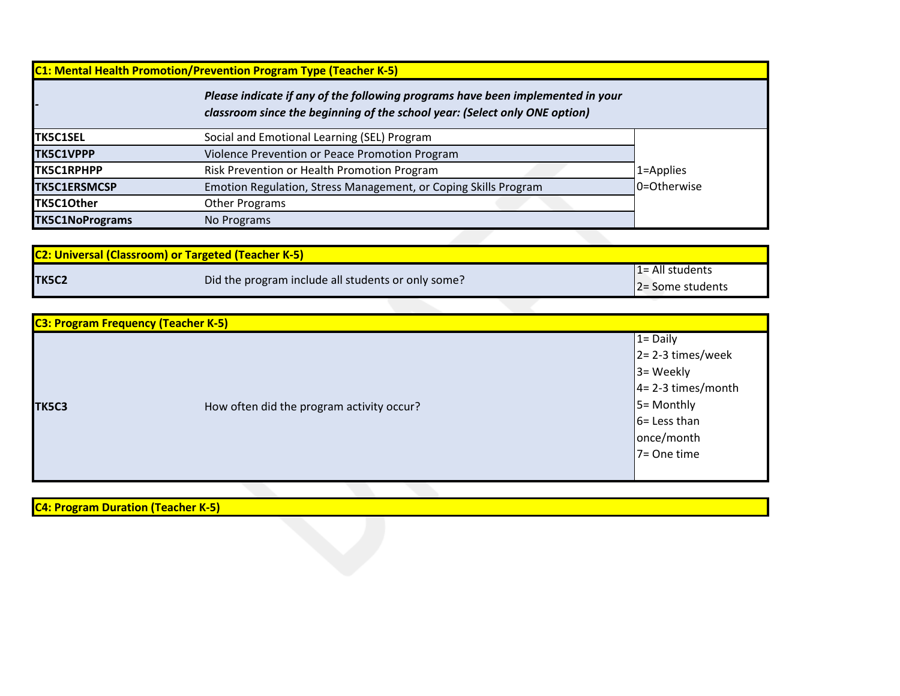| <b>C1: Mental Health Promotion/Prevention Program Type (Teacher K-5)</b> |                                                                                                                                                              |             |  |
|--------------------------------------------------------------------------|--------------------------------------------------------------------------------------------------------------------------------------------------------------|-------------|--|
|                                                                          | Please indicate if any of the following programs have been implemented in your<br>classroom since the beginning of the school year: (Select only ONE option) |             |  |
| <b>TK5C1SEL</b>                                                          | Social and Emotional Learning (SEL) Program                                                                                                                  |             |  |
| <b>TK5C1VPPP</b>                                                         | Violence Prevention or Peace Promotion Program                                                                                                               |             |  |
| <b>TK5C1RPHPP</b>                                                        | Risk Prevention or Health Promotion Program                                                                                                                  | 1=Applies   |  |
| <b>TK5C1ERSMCSP</b>                                                      | Emotion Regulation, Stress Management, or Coping Skills Program                                                                                              | 0=Otherwise |  |
| TK5C1Other                                                               | <b>Other Programs</b>                                                                                                                                        |             |  |
| <b>TK5C1NoPrograms</b>                                                   | No Programs                                                                                                                                                  |             |  |
|                                                                          |                                                                                                                                                              |             |  |

| <b>C2: Universal (Classroom) or Targeted (Teacher K-5)</b> |                                                    |                     |
|------------------------------------------------------------|----------------------------------------------------|---------------------|
|                                                            |                                                    | $1 = All students$  |
| <b>TK5C2</b>                                               | Did the program include all students or only some? | $ 2=$ Some students |

| <b>C3: Program Frequency (Teacher K-5)</b> |                                           |                       |
|--------------------------------------------|-------------------------------------------|-----------------------|
|                                            |                                           | $1 = Daily$           |
|                                            |                                           | $2 = 2-3$ times/week  |
|                                            |                                           | $3 = \text{Weekly}$   |
|                                            |                                           | $4 = 2-3$ times/month |
| TK5C3                                      | How often did the program activity occur? | $5 =$ Monthly         |
|                                            |                                           | $6 =$ Less than       |
|                                            |                                           | once/month            |
|                                            |                                           | 7= One time           |
|                                            |                                           |                       |

**C4: Program Duration (Teacher K-5)**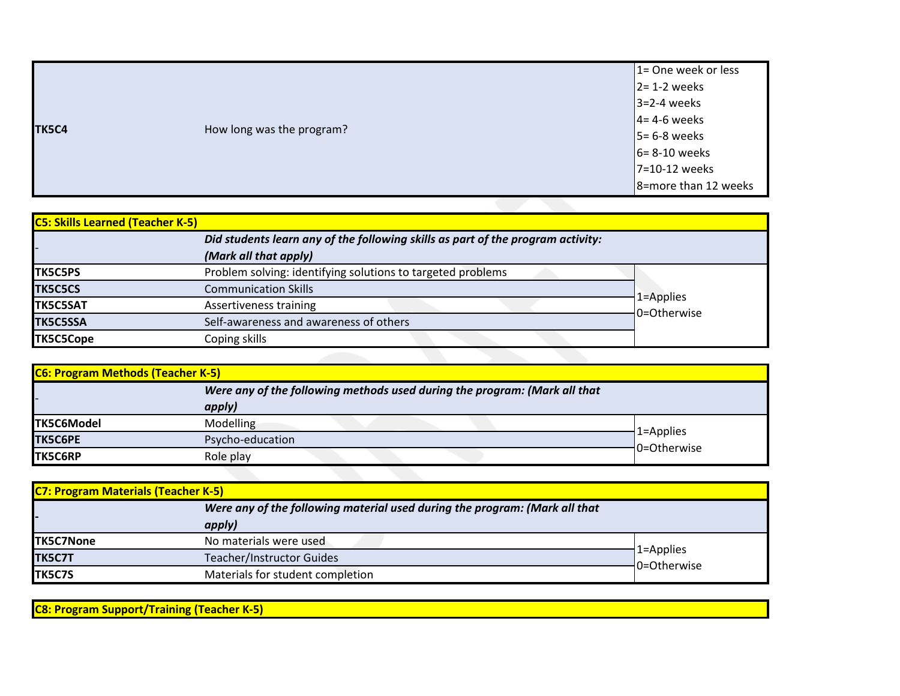|       |                           | 1= One week or less  |
|-------|---------------------------|----------------------|
|       |                           | $2 = 1-2$ weeks      |
|       |                           | $3=2-4$ weeks        |
|       |                           | $4 = 4-6$ weeks      |
| TK5C4 | How long was the program? | $5 = 6-8$ weeks      |
|       |                           | $6 = 8 - 10$ weeks   |
|       |                           | 7=10-12 weeks        |
|       |                           | 8=more than 12 weeks |

| <b>C5: Skills Learned (Teacher K-5)</b> |                                                                                 |             |
|-----------------------------------------|---------------------------------------------------------------------------------|-------------|
|                                         | Did students learn any of the following skills as part of the program activity: |             |
|                                         | (Mark all that apply)                                                           |             |
| <b>TK5C5PS</b>                          | Problem solving: identifying solutions to targeted problems                     |             |
| <b>TK5C5CS</b>                          | <b>Communication Skills</b>                                                     | 1=Applies   |
| <b>TK5C5SAT</b>                         | Assertiveness training                                                          | 0=Otherwise |
| <b>TK5C5SSA</b>                         | Self-awareness and awareness of others                                          |             |
| <b>TK5C5Cope</b>                        | Coping skills                                                                   |             |
|                                         |                                                                                 |             |

| <b>C6: Program Methods (Teacher K-5)</b> |                                                                           |                              |  |
|------------------------------------------|---------------------------------------------------------------------------|------------------------------|--|
|                                          | Were any of the following methods used during the program: (Mark all that |                              |  |
| apply)                                   |                                                                           |                              |  |
| <b>TK5C6Model</b>                        | Modelling                                                                 |                              |  |
| <b>TK5C6PE</b>                           | Psycho-education                                                          | $1 =$ Applies<br>0=Otherwise |  |
| <b>TK5C6RP</b>                           | Role play                                                                 |                              |  |

| <b>C7: Program Materials (Teacher K-5)</b>                                           |                                  |                          |           |
|--------------------------------------------------------------------------------------|----------------------------------|--------------------------|-----------|
| Were any of the following material used during the program: (Mark all that<br>apply) |                                  |                          |           |
|                                                                                      |                                  |                          | TK5C7None |
| TK5C7T                                                                               | <b>Teacher/Instructor Guides</b> | 1=Applies<br>0=Otherwise |           |
| <b>TK5C7S</b>                                                                        | Materials for student completion |                          |           |

**C8: Program Support/Training (Teacher K-5)**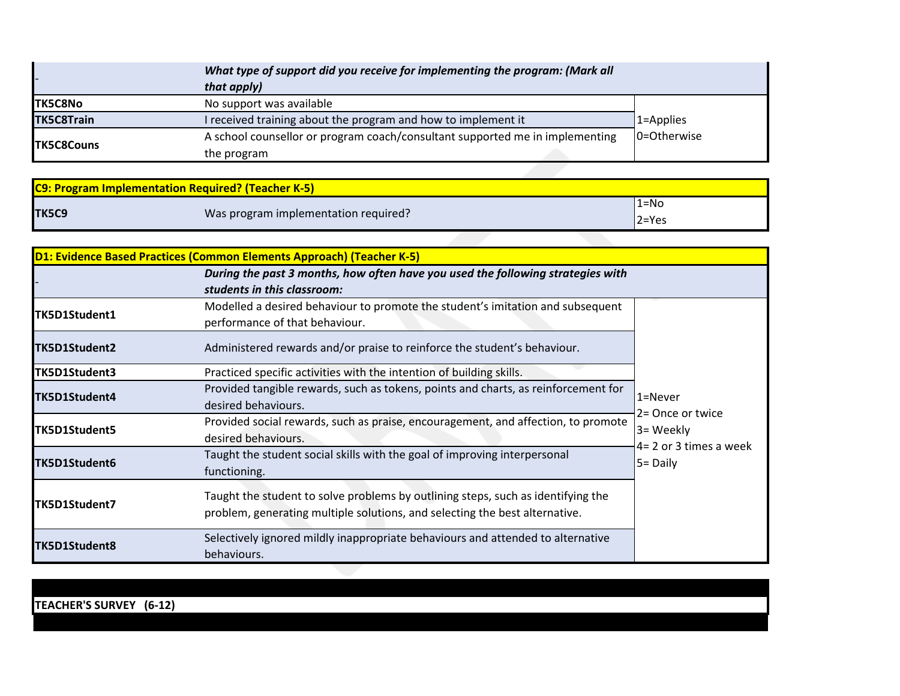|                   | What type of support did you receive for implementing the program: (Mark all<br>that apply) |             |
|-------------------|---------------------------------------------------------------------------------------------|-------------|
| <b>TK5C8No</b>    | No support was available                                                                    |             |
| <b>TK5C8Train</b> | I received training about the program and how to implement it                               | 1=Applies   |
| <b>TK5C8Couns</b> | A school counsellor or program coach/consultant supported me in implementing<br>the program | 0=Otherwise |
|                   |                                                                                             |             |

| <b>C9: Program Implementation Required? (Teacher K-5)</b> |                                      |           |
|-----------------------------------------------------------|--------------------------------------|-----------|
|                                                           |                                      | $1 = No$  |
| TK5C9                                                     | Was program implementation required? | $2 = Yes$ |

|               | <b>D1: Evidence Based Practices (Common Elements Approach) (Teacher K-5)</b>       |                        |
|---------------|------------------------------------------------------------------------------------|------------------------|
|               | During the past 3 months, how often have you used the following strategies with    |                        |
|               | students in this classroom:                                                        |                        |
| TK5D1Student1 | Modelled a desired behaviour to promote the student's imitation and subsequent     |                        |
|               | performance of that behaviour.                                                     |                        |
| TK5D1Student2 | Administered rewards and/or praise to reinforce the student's behaviour.           |                        |
| TK5D1Student3 | Practiced specific activities with the intention of building skills.               |                        |
| TK5D1Student4 | Provided tangible rewards, such as tokens, points and charts, as reinforcement for | 1=Never                |
|               | desired behaviours.                                                                | 2= Once or twice       |
| TK5D1Student5 | Provided social rewards, such as praise, encouragement, and affection, to promote  | 3= Weekly              |
|               | desired behaviours.                                                                | 4= 2 or 3 times a week |
| TK5D1Student6 | Taught the student social skills with the goal of improving interpersonal          | $5 =$ Daily            |
|               | functioning.                                                                       |                        |
|               | Taught the student to solve problems by outlining steps, such as identifying the   |                        |
| TK5D1Student7 | problem, generating multiple solutions, and selecting the best alternative.        |                        |
|               |                                                                                    |                        |
| TK5D1Student8 | Selectively ignored mildly inappropriate behaviours and attended to alternative    |                        |
|               | behaviours.                                                                        |                        |

**TEACHER'S SURVEY (6-12)**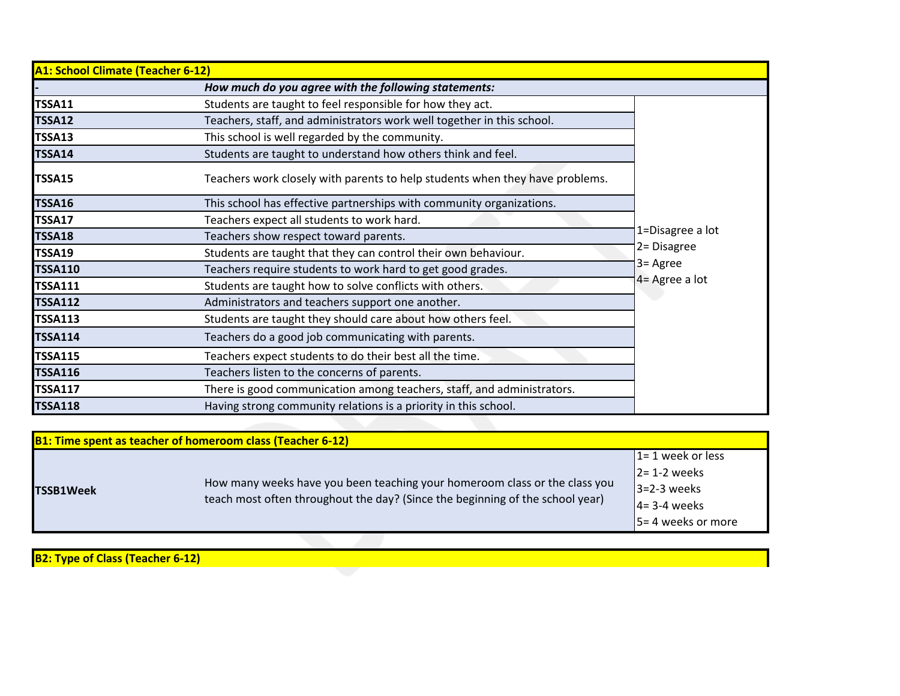| A1: School Climate (Teacher 6-12) |                                                                              |                                 |
|-----------------------------------|------------------------------------------------------------------------------|---------------------------------|
|                                   | How much do you agree with the following statements:                         |                                 |
| <b>TSSA11</b>                     | Students are taught to feel responsible for how they act.                    |                                 |
| <b>TSSA12</b>                     | Teachers, staff, and administrators work well together in this school.       |                                 |
| <b>TSSA13</b>                     | This school is well regarded by the community.                               |                                 |
| <b>TSSA14</b>                     | Students are taught to understand how others think and feel.                 |                                 |
| TSSA15                            | Teachers work closely with parents to help students when they have problems. |                                 |
| <b>TSSA16</b>                     | This school has effective partnerships with community organizations.         |                                 |
| TSSA17                            | Teachers expect all students to work hard.                                   |                                 |
| <b>TSSA18</b>                     | Teachers show respect toward parents.                                        | 1=Disagree a lot<br>2= Disagree |
| <b>TSSA19</b>                     | Students are taught that they can control their own behaviour.               |                                 |
| <b>TSSA110</b>                    | Teachers require students to work hard to get good grades.                   | 3= Agree                        |
| <b>TSSA111</b>                    | Students are taught how to solve conflicts with others.                      | 4 = Agree a lot                 |
| <b>TSSA112</b>                    | Administrators and teachers support one another.                             |                                 |
| <b>TSSA113</b>                    | Students are taught they should care about how others feel.                  |                                 |
| <b>TSSA114</b>                    | Teachers do a good job communicating with parents.                           |                                 |
| <b>TSSA115</b>                    | Teachers expect students to do their best all the time.                      |                                 |
| <b>TSSA116</b>                    | Teachers listen to the concerns of parents.                                  |                                 |
| <b>TSSA117</b>                    | There is good communication among teachers, staff, and administrators.       |                                 |
| <b>TSSA118</b>                    | Having strong community relations is a priority in this school.              |                                 |

| <b>B1: Time spent as teacher of homeroom class (Teacher 6-12)</b> |                                                                                                                                                             |                                                                                                    |
|-------------------------------------------------------------------|-------------------------------------------------------------------------------------------------------------------------------------------------------------|----------------------------------------------------------------------------------------------------|
| <b>TSSB1Week</b>                                                  | How many weeks have you been teaching your homeroom class or the class you<br>teach most often throughout the day? (Since the beginning of the school year) | $1 = 1$ week or less<br>$2 = 1-2$ weeks<br>$3=2-3$ weeks<br>$4 = 3-4$ weeks<br>5 = 4 weeks or more |
|                                                                   |                                                                                                                                                             |                                                                                                    |

**B2: Type of Class (Teacher 6-12)**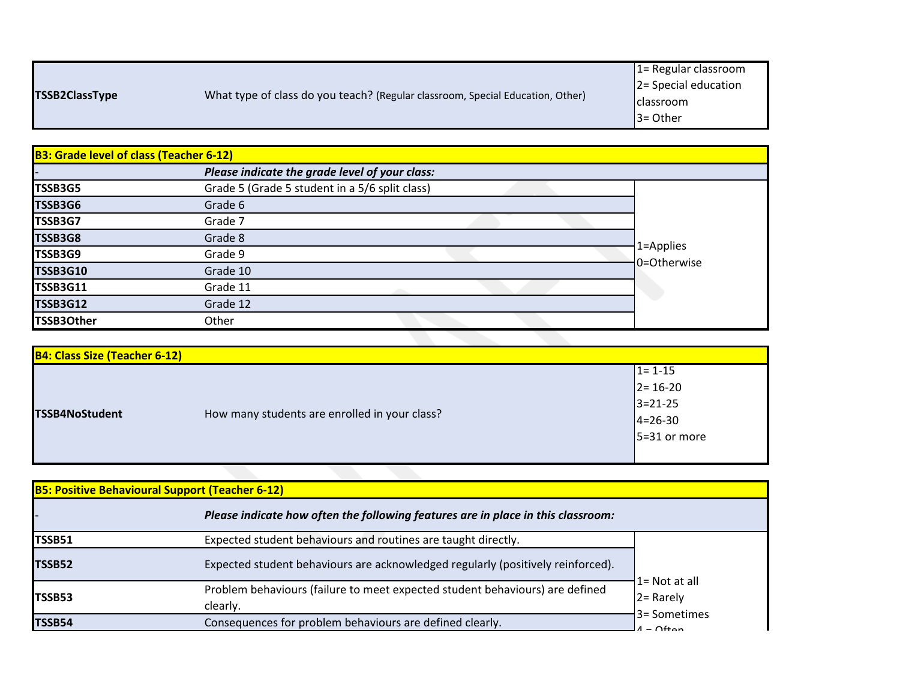|                       |                                                                                | $1 =$ Regular classroom  |
|-----------------------|--------------------------------------------------------------------------------|--------------------------|
|                       | What type of class do you teach? (Regular classroom, Special Education, Other) | $ 2$ = Special education |
| <b>TSSB2ClassType</b> |                                                                                | I classroom              |
|                       |                                                                                | $3 =$ Other              |
|                       |                                                                                |                          |

| <b>B3: Grade level of class (Teacher 6-12)</b> |                                                |                          |
|------------------------------------------------|------------------------------------------------|--------------------------|
|                                                | Please indicate the grade level of your class: |                          |
| TSSB3G5                                        | Grade 5 (Grade 5 student in a 5/6 split class) |                          |
| TSSB3G6                                        | Grade 6                                        |                          |
| TSSB3G7                                        | Grade 7                                        |                          |
| TSSB3G8                                        | Grade 8                                        |                          |
| TSSB3G9                                        | Grade 9                                        | 1=Applies<br>0=Otherwise |
| <b>TSSB3G10</b>                                | Grade 10                                       |                          |
| <b>TSSB3G11</b>                                | Grade 11                                       |                          |
| <b>TSSB3G12</b>                                | Grade 12                                       |                          |
| <b>TSSB3Other</b>                              | Other                                          |                          |
|                                                |                                                |                          |

| <b>B4: Class Size (Teacher 6-12)</b> |                                               |                                                                                   |
|--------------------------------------|-----------------------------------------------|-----------------------------------------------------------------------------------|
| TSSB4NoStudent                       | How many students are enrolled in your class? | $1 = 1 - 15$<br>$2 = 16 - 20$<br>$3 = 21 - 25$<br>$4 = 26 - 30$<br>$5=31$ or more |
|                                      |                                               |                                                                                   |

| <b>B5: Positive Behavioural Support (Teacher 6-12)</b> |                                                                                          |                                                  |  |
|--------------------------------------------------------|------------------------------------------------------------------------------------------|--------------------------------------------------|--|
|                                                        | Please indicate how often the following features are in place in this classroom:         |                                                  |  |
| <b>TSSB51</b>                                          | Expected student behaviours and routines are taught directly.                            |                                                  |  |
| TSSB52                                                 | Expected student behaviours are acknowledged regularly (positively reinforced).          |                                                  |  |
| TSSB53                                                 | Problem behaviours (failure to meet expected student behaviours) are defined<br>clearly. | $1 = Not at all$<br>$2 =$ Rarely<br>3= Sometimes |  |
| TSSB54                                                 | Consequences for problem behaviours are defined clearly.                                 | $-$ Ofton                                        |  |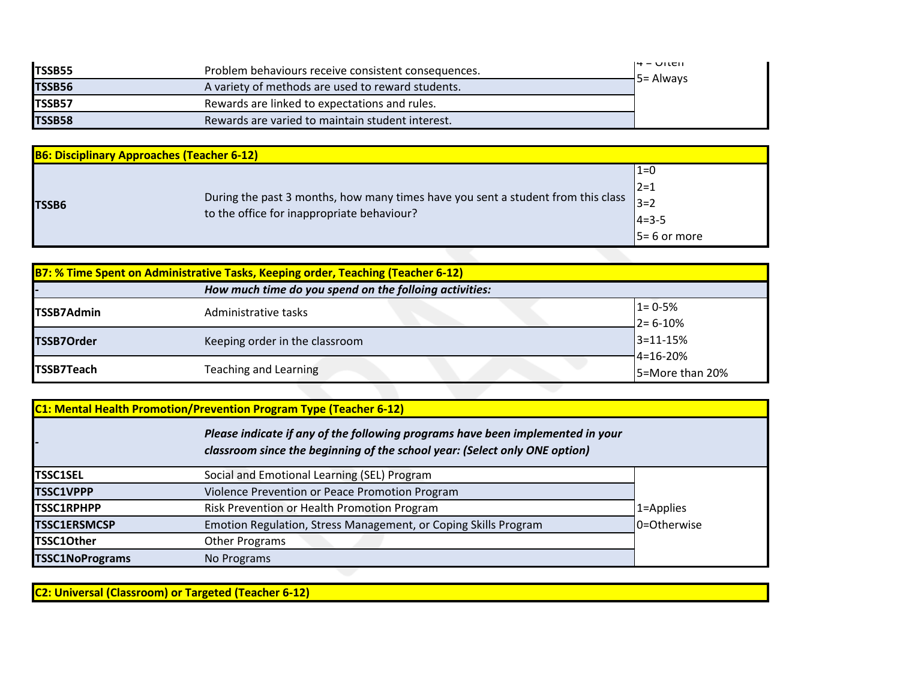| <b>TSSB55</b> | Problem behaviours receive consistent consequences. | $14 - 11$       |
|---------------|-----------------------------------------------------|-----------------|
| <b>TSSB56</b> | A variety of methods are used to reward students.   | $\pm$ 5= Always |
| ITSSB57       | Rewards are linked to expectations and rules.       |                 |
| <b>TSSB58</b> | Rewards are varied to maintain student interest.    |                 |

| <b>B6: Disciplinary Approaches (Teacher 6-12)</b> |                                                                                                                                      |                 |  |
|---------------------------------------------------|--------------------------------------------------------------------------------------------------------------------------------------|-----------------|--|
|                                                   |                                                                                                                                      | $1 = 0$         |  |
| <b>TSSB6</b>                                      | During the past 3 months, how many times have you sent a student from this class $3=2$<br>to the office for inappropriate behaviour? | $ 2=1$          |  |
|                                                   |                                                                                                                                      |                 |  |
|                                                   |                                                                                                                                      | $14 = 3 - 5$    |  |
|                                                   |                                                                                                                                      | $5 = 6$ or more |  |
|                                                   |                                                                                                                                      |                 |  |

| <b>B7: % Time Spent on Administrative Tasks, Keeping order, Teaching (Teacher 6-12)</b> |                                                        |                 |  |
|-----------------------------------------------------------------------------------------|--------------------------------------------------------|-----------------|--|
|                                                                                         | How much time do you spend on the folloing activities: |                 |  |
| <b>TSSB7Admin</b>                                                                       | Administrative tasks                                   | $1 = 0.5%$      |  |
|                                                                                         |                                                        | $2 = 6 - 10%$   |  |
| <b>TSSB7Order</b>                                                                       | Keeping order in the classroom                         | $3 = 11 - 15%$  |  |
|                                                                                         |                                                        | $-4 = 16 - 20%$ |  |
| <b>TSSB7Teach</b>                                                                       | <b>Teaching and Learning</b>                           | 5=More than 20% |  |
|                                                                                         |                                                        |                 |  |

| <b>C1: Mental Health Promotion/Prevention Program Type (Teacher 6-12)</b> |                                                                                                                                                              |             |  |
|---------------------------------------------------------------------------|--------------------------------------------------------------------------------------------------------------------------------------------------------------|-------------|--|
|                                                                           | Please indicate if any of the following programs have been implemented in your<br>classroom since the beginning of the school year: (Select only ONE option) |             |  |
| <b>TSSC1SEL</b>                                                           | Social and Emotional Learning (SEL) Program                                                                                                                  |             |  |
| <b>TSSC1VPPP</b>                                                          | Violence Prevention or Peace Promotion Program                                                                                                               |             |  |
| <b>TSSC1RPHPP</b>                                                         | Risk Prevention or Health Promotion Program                                                                                                                  | 1=Applies   |  |
| <b>TSSC1ERSMCSP</b>                                                       | Emotion Regulation, Stress Management, or Coping Skills Program                                                                                              | 0=Otherwise |  |
| <b>TSSC1Other</b>                                                         | <b>Other Programs</b>                                                                                                                                        |             |  |
| <b>TSSC1NoPrograms</b>                                                    | No Programs                                                                                                                                                  |             |  |

**C2: Universal (Classroom) or Targeted (Teacher 6-12)**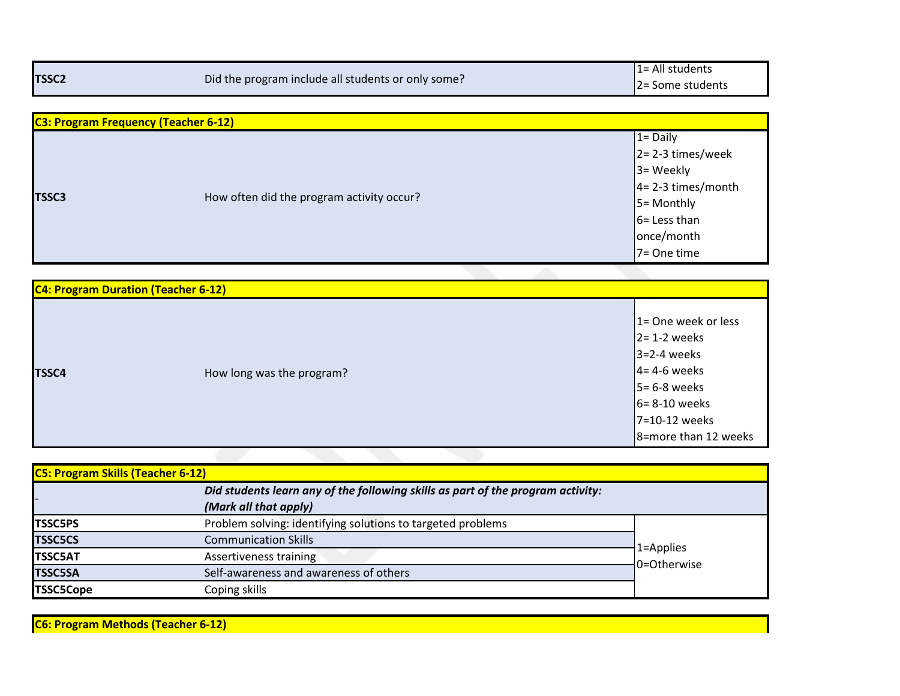| <b>TSSC2</b>                                | Did the program include all students or only some? | 1= All students<br>2= Some students |
|---------------------------------------------|----------------------------------------------------|-------------------------------------|
|                                             |                                                    |                                     |
| <b>C3: Program Frequency (Teacher 6-12)</b> |                                                    |                                     |
|                                             |                                                    | $1 = Daily$                         |
|                                             |                                                    | 2=2-3 times/week                    |
|                                             |                                                    | 3= Weekly                           |
|                                             |                                                    | 4= 2-3 times/month                  |
| <b>TSSC3</b>                                | How often did the program activity occur?          | 5= Monthly                          |
|                                             |                                                    | 6= Less than                        |
|                                             |                                                    | once/month                          |
|                                             |                                                    | 7= One time                         |
|                                             |                                                    |                                     |
| C4: Program Duration (Teacher 6-12)         |                                                    |                                     |
|                                             |                                                    |                                     |
|                                             |                                                    | 1= One week or less                 |
|                                             |                                                    | $2 = 1 - 2$ weeks                   |
|                                             |                                                    | $3=2-4$ weeks                       |
| <b>TSSC4</b>                                | How long was the program?                          | $4 = 4-6$ weeks                     |
|                                             |                                                    | 5 = 6-8 weeks                       |
|                                             |                                                    | 6= 8-10 weeks                       |
|                                             |                                                    | 7=10-12 weeks                       |
|                                             |                                                    | 8=more than 12 weeks                |

|                  | <b>C5: Program Skills (Teacher 6-12)</b>                                        |                          |  |  |
|------------------|---------------------------------------------------------------------------------|--------------------------|--|--|
|                  | Did students learn any of the following skills as part of the program activity: |                          |  |  |
|                  | (Mark all that apply)                                                           |                          |  |  |
| <b>TSSC5PS</b>   | Problem solving: identifying solutions to targeted problems                     | 1=Applies<br>0=Otherwise |  |  |
| <b>TSSC5CS</b>   | <b>Communication Skills</b>                                                     |                          |  |  |
| <b>TSSC5AT</b>   | Assertiveness training                                                          |                          |  |  |
| <b>TSSC5SA</b>   | Self-awareness and awareness of others                                          |                          |  |  |
| <b>TSSC5Cope</b> | Coping skills                                                                   |                          |  |  |

**C6: Program Methods (Teacher 6-12)**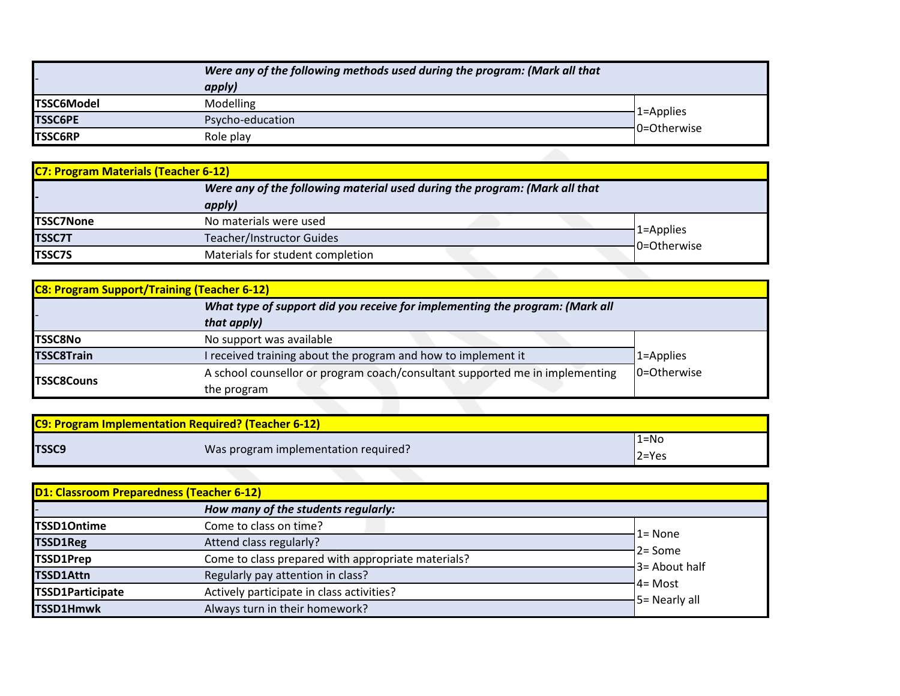|                   | Were any of the following methods used during the program: (Mark all that |                          |
|-------------------|---------------------------------------------------------------------------|--------------------------|
|                   | apply)                                                                    |                          |
| <b>TSSC6Model</b> | Modelling                                                                 |                          |
| <b>TSSC6PE</b>    | Psycho-education                                                          | 1=Applies<br>0=Otherwise |
| <b>TSSC6RP</b>    | Role play                                                                 |                          |

| <b>C7: Program Materials (Teacher 6-12)</b> |                                                                                      |                          |  |
|---------------------------------------------|--------------------------------------------------------------------------------------|--------------------------|--|
|                                             | Were any of the following material used during the program: (Mark all that<br>apply) |                          |  |
| <b>TSSC7None</b>                            | No materials were used                                                               |                          |  |
| <b>TSSC7T</b>                               | <b>Teacher/Instructor Guides</b>                                                     | 1=Applies<br>0=Otherwise |  |
| <b>TSSC7S</b>                               | Materials for student completion                                                     |                          |  |
|                                             |                                                                                      |                          |  |

| <b>C8: Program Support/Training (Teacher 6-12)</b>                           |                                                                              |             |  |  |
|------------------------------------------------------------------------------|------------------------------------------------------------------------------|-------------|--|--|
| What type of support did you receive for implementing the program: (Mark all |                                                                              |             |  |  |
|                                                                              | that apply)                                                                  |             |  |  |
| <b>TSSC8No</b>                                                               | No support was available                                                     |             |  |  |
| <b>TSSC8Train</b>                                                            | I received training about the program and how to implement it                | 1=Applies   |  |  |
|                                                                              | A school counsellor or program coach/consultant supported me in implementing | 0=Otherwise |  |  |
| <b>ITSSC8Couns</b>                                                           | the program                                                                  |             |  |  |
|                                                                              |                                                                              |             |  |  |

| <b>C9: Program Implementation Required? (Teacher 6-12)</b> |                                      |                |  |
|------------------------------------------------------------|--------------------------------------|----------------|--|
| <b>TSSC9</b>                                               | Was program implementation required? | l1=No<br>2=Yes |  |

| <b>D1: Classroom Preparedness (Teacher 6-12)</b> |                                                    |                                           |
|--------------------------------------------------|----------------------------------------------------|-------------------------------------------|
|                                                  | How many of the students regularly:                |                                           |
| <b>TSSD10ntime</b>                               | Come to class on time?                             | 1= None                                   |
| <b>TSSD1Reg</b>                                  | Attend class regularly?                            | $2 = Some$                                |
| TSSD1Prep                                        | Come to class prepared with appropriate materials? | $-3$ = About half                         |
| <b>TSSD1Attn</b>                                 | Regularly pay attention in class?                  |                                           |
| <b>TSSD1Participate</b>                          | Actively participate in class activities?          | $4 = Most$<br>$\frac{1}{2}$ 5= Nearly all |
| TSSD1Hmwk                                        | Always turn in their homework?                     |                                           |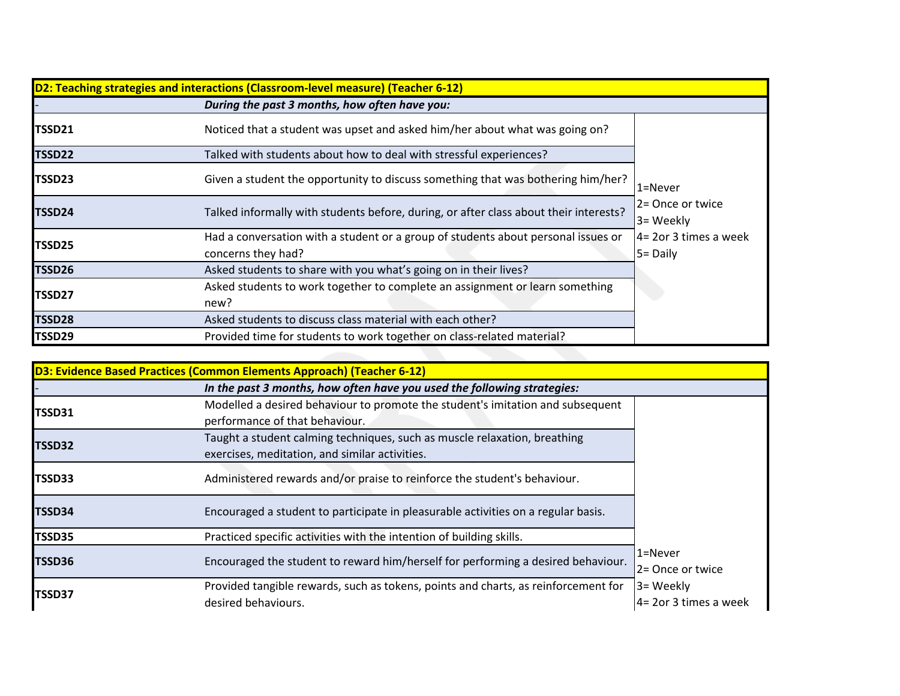| During the past 3 months, how often have you:<br>Noticed that a student was upset and asked him/her about what was going on?<br>TSSD21<br>Talked with students about how to deal with stressful experiences?<br>TSSD22<br>Given a student the opportunity to discuss something that was bothering him/her?<br>TSSD23<br>$1 =$ Never<br>2= Once or twice<br>Talked informally with students before, during, or after class about their interests?<br>TSSD24<br>3= Weekly<br>Had a conversation with a student or a group of students about personal issues or<br>TSSD25<br>$5 =$ Daily<br>concerns they had?<br>Asked students to share with you what's going on in their lives?<br>TSSD26<br>Asked students to work together to complete an assignment or learn something<br>TSSD27<br>new?<br>Asked students to discuss class material with each other?<br>TSSD28 | D2: Teaching strategies and interactions (Classroom-level measure) (Teacher 6-12) |                                                                        |                       |  |
|--------------------------------------------------------------------------------------------------------------------------------------------------------------------------------------------------------------------------------------------------------------------------------------------------------------------------------------------------------------------------------------------------------------------------------------------------------------------------------------------------------------------------------------------------------------------------------------------------------------------------------------------------------------------------------------------------------------------------------------------------------------------------------------------------------------------------------------------------------------------|-----------------------------------------------------------------------------------|------------------------------------------------------------------------|-----------------------|--|
|                                                                                                                                                                                                                                                                                                                                                                                                                                                                                                                                                                                                                                                                                                                                                                                                                                                                    |                                                                                   |                                                                        |                       |  |
|                                                                                                                                                                                                                                                                                                                                                                                                                                                                                                                                                                                                                                                                                                                                                                                                                                                                    |                                                                                   |                                                                        |                       |  |
|                                                                                                                                                                                                                                                                                                                                                                                                                                                                                                                                                                                                                                                                                                                                                                                                                                                                    |                                                                                   |                                                                        |                       |  |
|                                                                                                                                                                                                                                                                                                                                                                                                                                                                                                                                                                                                                                                                                                                                                                                                                                                                    |                                                                                   |                                                                        |                       |  |
|                                                                                                                                                                                                                                                                                                                                                                                                                                                                                                                                                                                                                                                                                                                                                                                                                                                                    |                                                                                   |                                                                        |                       |  |
|                                                                                                                                                                                                                                                                                                                                                                                                                                                                                                                                                                                                                                                                                                                                                                                                                                                                    |                                                                                   |                                                                        | 4= 2or 3 times a week |  |
|                                                                                                                                                                                                                                                                                                                                                                                                                                                                                                                                                                                                                                                                                                                                                                                                                                                                    |                                                                                   |                                                                        |                       |  |
|                                                                                                                                                                                                                                                                                                                                                                                                                                                                                                                                                                                                                                                                                                                                                                                                                                                                    |                                                                                   |                                                                        |                       |  |
|                                                                                                                                                                                                                                                                                                                                                                                                                                                                                                                                                                                                                                                                                                                                                                                                                                                                    |                                                                                   |                                                                        |                       |  |
|                                                                                                                                                                                                                                                                                                                                                                                                                                                                                                                                                                                                                                                                                                                                                                                                                                                                    | TSSD29                                                                            | Provided time for students to work together on class-related material? |                       |  |

| D3: Evidence Based Practices (Common Elements Approach) (Teacher 6-12) |                                                                                    |                           |
|------------------------------------------------------------------------|------------------------------------------------------------------------------------|---------------------------|
|                                                                        | In the past 3 months, how often have you used the following strategies:            |                           |
| TSSD31                                                                 | Modelled a desired behaviour to promote the student's imitation and subsequent     |                           |
|                                                                        | performance of that behaviour.                                                     |                           |
|                                                                        | Taught a student calming techniques, such as muscle relaxation, breathing          |                           |
| TSSD32                                                                 | exercises, meditation, and similar activities.                                     |                           |
| TSSD33                                                                 | Administered rewards and/or praise to reinforce the student's behaviour.           |                           |
| TSSD34                                                                 | Encouraged a student to participate in pleasurable activities on a regular basis.  |                           |
| TSSD35                                                                 | Practiced specific activities with the intention of building skills.               |                           |
|                                                                        |                                                                                    | $1 =$ Never               |
| TSSD36                                                                 | Encouraged the student to reward him/herself for performing a desired behaviour.   | 2 = Once or twice         |
|                                                                        | Provided tangible rewards, such as tokens, points and charts, as reinforcement for | 3= Weekly                 |
| TSSD37                                                                 | desired behaviours.                                                                | $4 = 2$ or 3 times a week |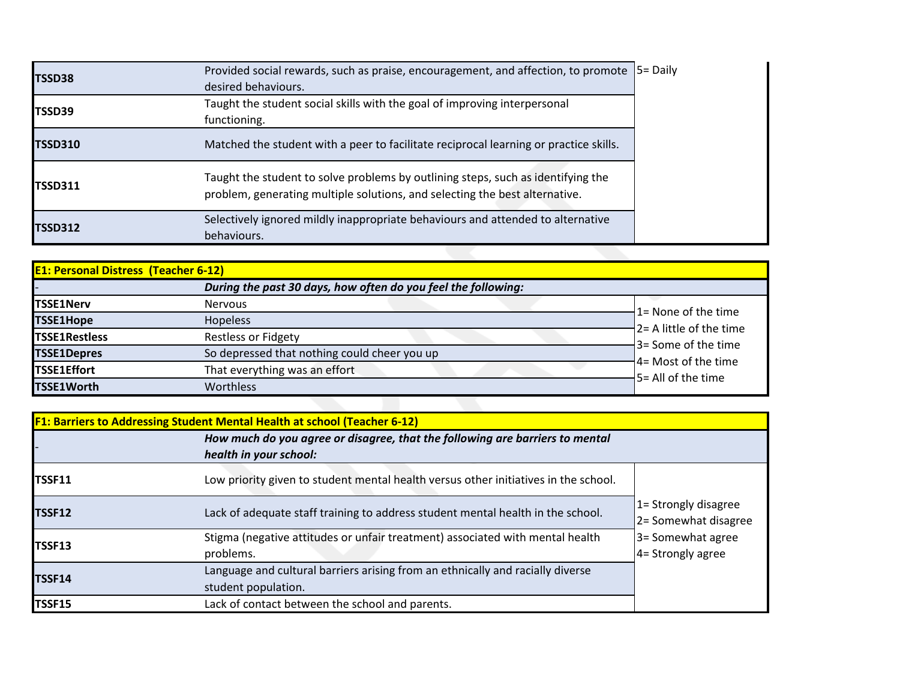| <b>TSSD38</b>  | Provided social rewards, such as praise, encouragement, and affection, to promote<br>desired behaviours.                                                        | $5 =$ Daily |
|----------------|-----------------------------------------------------------------------------------------------------------------------------------------------------------------|-------------|
| TSSD39         | Taught the student social skills with the goal of improving interpersonal<br>functioning.                                                                       |             |
| <b>TSSD310</b> | Matched the student with a peer to facilitate reciprocal learning or practice skills.                                                                           |             |
| <b>TSSD311</b> | Taught the student to solve problems by outlining steps, such as identifying the<br>problem, generating multiple solutions, and selecting the best alternative. |             |
| <b>TSSD312</b> | Selectively ignored mildly inappropriate behaviours and attended to alternative<br>behaviours.                                                                  |             |
|                |                                                                                                                                                                 |             |

| <b>E1: Personal Distress (Teacher 6-12)</b> |                                                               |                          |
|---------------------------------------------|---------------------------------------------------------------|--------------------------|
|                                             | During the past 30 days, how often do you feel the following: |                          |
| <b>TSSE1Nerv</b>                            | <b>Nervous</b>                                                | 1= None of the time      |
| <b>TSSE1Hope</b>                            | <b>Hopeless</b>                                               | 2 = A little of the time |
| <b>TSSE1Restless</b>                        | <b>Restless or Fidgety</b>                                    | 3= Some of the time      |
| <b>TSSE1Depres</b>                          | So depressed that nothing could cheer you up                  | 4= Most of the time      |
| TSSE1Effort                                 | That everything was an effort                                 | 5 = All of the time      |
| <b>TSSE1Worth</b>                           | Worthless                                                     |                          |
|                                             |                                                               |                          |

|               | <b>F1: Barriers to Addressing Student Mental Health at school (Teacher 6-12)</b>                       |                                                 |
|---------------|--------------------------------------------------------------------------------------------------------|-------------------------------------------------|
|               | How much do you agree or disagree, that the following are barriers to mental<br>health in your school: |                                                 |
| TSSF11        | Low priority given to student mental health versus other initiatives in the school.                    |                                                 |
| <b>TSSF12</b> | Lack of adequate staff training to address student mental health in the school.                        | $1 =$ Strongly disagree<br>2= Somewhat disagree |
| <b>TSSF13</b> | Stigma (negative attitudes or unfair treatment) associated with mental health<br>problems.             | 3 = Somewhat agree<br>4 = Strongly agree        |
| TSSF14        | Language and cultural barriers arising from an ethnically and racially diverse<br>student population.  |                                                 |
| <b>TSSF15</b> | Lack of contact between the school and parents.                                                        |                                                 |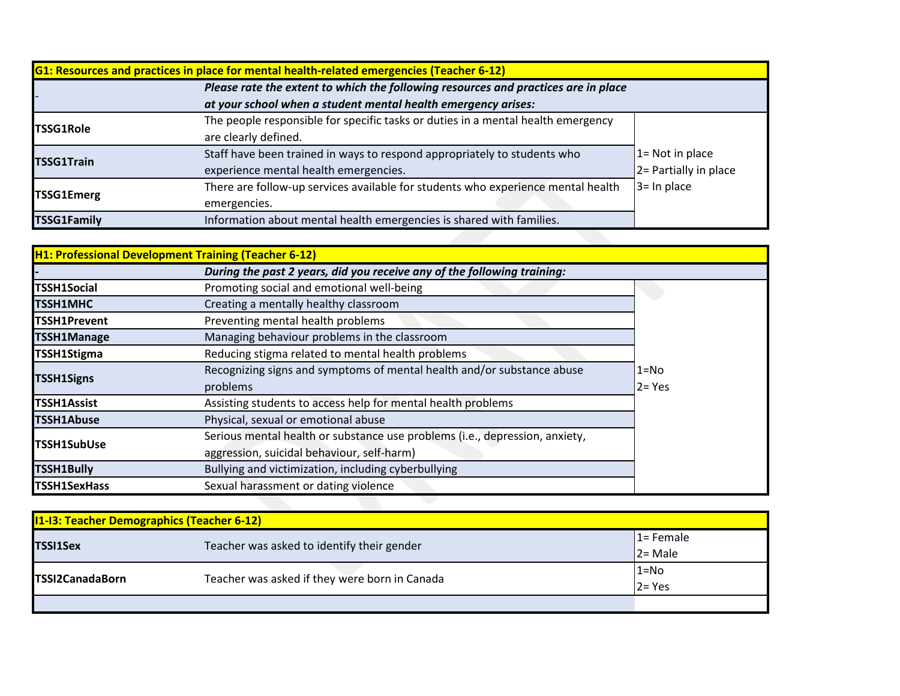|                    | <b>G1: Resources and practices in place for mental health-related emergencies (Teacher 6-12)</b> |                       |
|--------------------|--------------------------------------------------------------------------------------------------|-----------------------|
|                    | Please rate the extent to which the following resources and practices are in place               |                       |
|                    | at your school when a student mental health emergency arises:                                    |                       |
| <b>TSSG1Role</b>   | The people responsible for specific tasks or duties in a mental health emergency                 |                       |
|                    | are clearly defined.                                                                             |                       |
| <b>TSSG1Train</b>  | Staff have been trained in ways to respond appropriately to students who                         | $1 = Not in place$    |
|                    | experience mental health emergencies.                                                            | 2= Partially in place |
| <b>TSSG1Emerg</b>  | There are follow-up services available for students who experience mental health                 | $3 =$ In place        |
|                    | emergencies.                                                                                     |                       |
| <b>TSSG1Family</b> | Information about mental health emergencies is shared with families.                             |                       |

|                     | H1: Professional Development Training (Teacher 6-12)                        |           |
|---------------------|-----------------------------------------------------------------------------|-----------|
|                     | During the past 2 years, did you receive any of the following training:     |           |
| <b>TSSH1Social</b>  | Promoting social and emotional well-being                                   |           |
| lTSSH1MHC           | Creating a mentally healthy classroom                                       |           |
| <b>TSSH1Prevent</b> | Preventing mental health problems                                           |           |
| <b>TSSH1Manage</b>  | Managing behaviour problems in the classroom                                |           |
| <b>TSSH1Stigma</b>  | Reducing stigma related to mental health problems                           |           |
|                     | Recognizing signs and symptoms of mental health and/or substance abuse      | 1=No      |
| <b>TSSH1Signs</b>   | problems                                                                    | $2 = Yes$ |
| <b>TSSH1Assist</b>  | Assisting students to access help for mental health problems                |           |
| <b>TSSH1Abuse</b>   | Physical, sexual or emotional abuse                                         |           |
| TSSH1SubUse         | Serious mental health or substance use problems (i.e., depression, anxiety, |           |
|                     | aggression, suicidal behaviour, self-harm)                                  |           |
| <b>TSSH1Bully</b>   | Bullying and victimization, including cyberbullying                         |           |
| <b>TSSH1SexHass</b> | Sexual harassment or dating violence                                        |           |
|                     |                                                                             |           |

| <b>11-13: Teacher Demographics (Teacher 6-12)</b> |                                               |                         |
|---------------------------------------------------|-----------------------------------------------|-------------------------|
|                                                   | Teacher was asked to identify their gender    | 1= Female<br>$2 = Male$ |
| <b>TSSI1Sex</b>                                   |                                               |                         |
| <b>TSSI2CanadaBorn</b>                            |                                               | $1 = No$                |
|                                                   | Teacher was asked if they were born in Canada | $2 = Yes$               |
|                                                   |                                               |                         |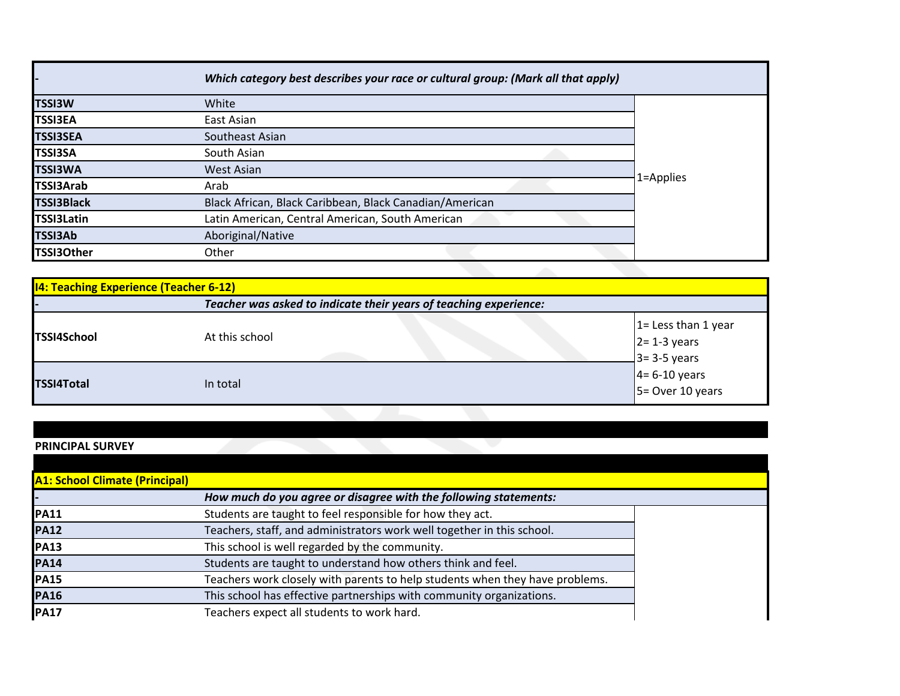| Which category best describes your race or cultural group: (Mark all that apply) |           |  |
|----------------------------------------------------------------------------------|-----------|--|
| White                                                                            |           |  |
| East Asian                                                                       |           |  |
| Southeast Asian                                                                  |           |  |
| South Asian                                                                      |           |  |
| West Asian                                                                       |           |  |
| Arab                                                                             | 1=Applies |  |
| Black African, Black Caribbean, Black Canadian/American                          |           |  |
| Latin American, Central American, South American                                 |           |  |
| Aboriginal/Native                                                                |           |  |
| Other                                                                            |           |  |
|                                                                                  |           |  |

| <b>14: Teaching Experience (Teacher 6-12)</b>                     |                |                                                                           |
|-------------------------------------------------------------------|----------------|---------------------------------------------------------------------------|
| Teacher was asked to indicate their years of teaching experience: |                |                                                                           |
| <b>TSSI4School</b>                                                | At this school | $1 =$ Less than 1 year                                                    |
| <b>TSSI4Total</b>                                                 | In total       | $2= 1-3$ years<br>$3= 3-5$ years<br>$4= 6-10$ years<br>$5=$ Over 10 years |

## **PRINCIPAL SURVEY**

| <b>A1: School Climate (Principal)</b> |                                                                              |
|---------------------------------------|------------------------------------------------------------------------------|
|                                       | How much do you agree or disagree with the following statements:             |
| <b>PA11</b>                           | Students are taught to feel responsible for how they act.                    |
| <b>PA12</b>                           | Teachers, staff, and administrators work well together in this school.       |
| <b>PA13</b>                           | This school is well regarded by the community.                               |
| <b>PA14</b>                           | Students are taught to understand how others think and feel.                 |
| <b>PA15</b>                           | Teachers work closely with parents to help students when they have problems. |
| <b>PA16</b>                           | This school has effective partnerships with community organizations.         |
| <b>PA17</b>                           | Teachers expect all students to work hard.                                   |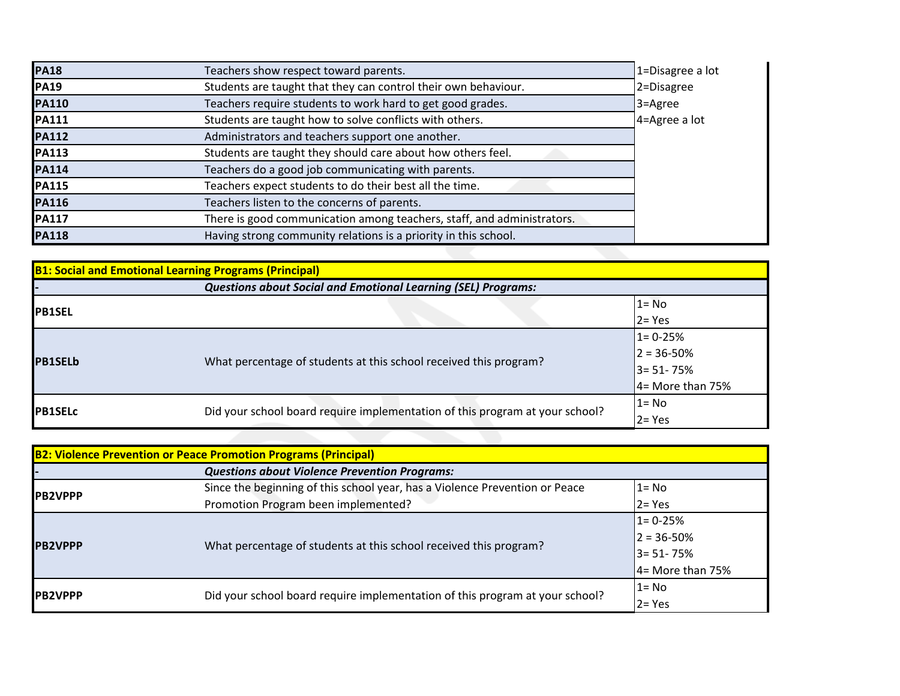| <b>PA18</b>  | Teachers show respect toward parents.                                  | 1=Disagree a lot |
|--------------|------------------------------------------------------------------------|------------------|
| <b>PA19</b>  | Students are taught that they can control their own behaviour.         | 2=Disagree       |
| <b>PA110</b> | Teachers require students to work hard to get good grades.             | $3 =$ Agree      |
| <b>PA111</b> | Students are taught how to solve conflicts with others.                | 4=Agree a lot    |
| <b>PA112</b> | Administrators and teachers support one another.                       |                  |
| <b>PA113</b> | Students are taught they should care about how others feel.            |                  |
| <b>PA114</b> | Teachers do a good job communicating with parents.                     |                  |
| <b>PA115</b> | Teachers expect students to do their best all the time.                |                  |
| <b>PA116</b> | Teachers listen to the concerns of parents.                            |                  |
| <b>PA117</b> | There is good communication among teachers, staff, and administrators. |                  |
| <b>PA118</b> | Having strong community relations is a priority in this school.        |                  |

| <b>B1: Social and Emotional Learning Programs (Principal)</b> |                                                                              |                     |  |
|---------------------------------------------------------------|------------------------------------------------------------------------------|---------------------|--|
|                                                               | <b>Questions about Social and Emotional Learning (SEL) Programs:</b>         |                     |  |
|                                                               |                                                                              | $1 = No$            |  |
| <b>IPB1SEL</b>                                                |                                                                              | $2 = Yes$           |  |
|                                                               |                                                                              | $1 = 0 - 25%$       |  |
|                                                               |                                                                              | $2 = 36 - 50%$      |  |
| <b>PB1SELb</b>                                                | What percentage of students at this school received this program?            | $3 = 51 - 75%$      |  |
|                                                               |                                                                              | $4 =$ More than 75% |  |
| <b>IPB1SELC</b>                                               |                                                                              | l 1= No             |  |
|                                                               | Did your school board require implementation of this program at your school? | $2 = Yes$           |  |

| <b>B2: Violence Prevention or Peace Promotion Programs (Principal)</b> |                                                                              |                     |
|------------------------------------------------------------------------|------------------------------------------------------------------------------|---------------------|
|                                                                        | <b>Questions about Violence Prevention Programs:</b>                         |                     |
| <b>PB2VPPP</b>                                                         | Since the beginning of this school year, has a Violence Prevention or Peace  | l 1= No             |
|                                                                        | Promotion Program been implemented?                                          | $2 = Yes$           |
| <b>PB2VPPP</b>                                                         |                                                                              | $1 = 0 - 25%$       |
|                                                                        |                                                                              | $ 2 = 36 - 50\% $   |
|                                                                        | What percentage of students at this school received this program?            | $3 = 51 - 75%$      |
|                                                                        |                                                                              | $4 =$ More than 75% |
| <b>IPB2VPPP</b>                                                        |                                                                              | $1 = No$            |
|                                                                        | Did your school board require implementation of this program at your school? | l2= Yes             |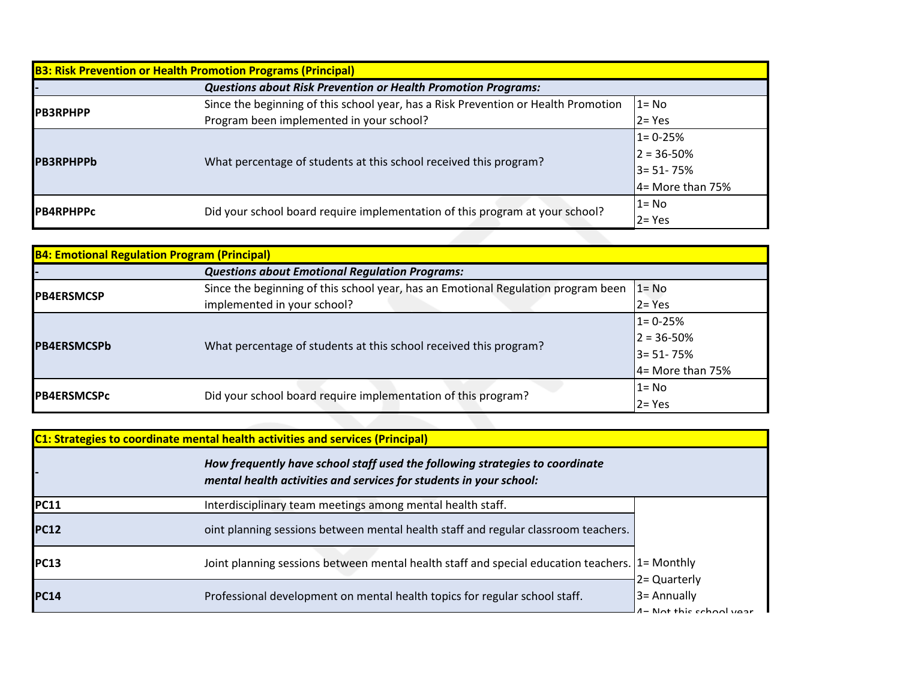| <b>B3: Risk Prevention or Health Promotion Programs (Principal)</b> |                                                                                    |                     |  |
|---------------------------------------------------------------------|------------------------------------------------------------------------------------|---------------------|--|
|                                                                     | <b>Questions about Risk Prevention or Health Promotion Programs:</b>               |                     |  |
|                                                                     | Since the beginning of this school year, has a Risk Prevention or Health Promotion | $1 = No$            |  |
| <b>IPB3RPHPP</b>                                                    | Program been implemented in your school?                                           | $2 = Yes$           |  |
| <b>IPB3RPHPPb</b>                                                   | What percentage of students at this school received this program?                  | $1 = 0 - 25%$       |  |
|                                                                     |                                                                                    | $2 = 36 - 50%$      |  |
|                                                                     |                                                                                    | 3= 51-75%           |  |
|                                                                     |                                                                                    | $4 =$ More than 75% |  |
| <b>IPB4RPHPPc</b>                                                   | Did your school board require implementation of this program at your school?       | l1= No              |  |
|                                                                     |                                                                                    | $2 = Yes$           |  |
|                                                                     |                                                                                    |                     |  |

| <b>B4: Emotional Regulation Program (Principal)</b> |                                                                                   |                     |  |
|-----------------------------------------------------|-----------------------------------------------------------------------------------|---------------------|--|
|                                                     | <b>Questions about Emotional Regulation Programs:</b>                             |                     |  |
|                                                     | Since the beginning of this school year, has an Emotional Regulation program been | $1 = No$            |  |
| <b>IPB4ERSMCSP</b>                                  | implemented in your school?                                                       | $2 = Yes$           |  |
| <b>IPB4ERSMCSPb</b>                                 | What percentage of students at this school received this program?                 | $1 = 0 - 25%$       |  |
|                                                     |                                                                                   | $2 = 36 - 50\%$     |  |
|                                                     |                                                                                   | <b>3= 51-75%</b>    |  |
|                                                     |                                                                                   | $4 =$ More than 75% |  |
| <b>IPB4ERSMCSPc</b>                                 | Did your school board require implementation of this program?                     | $1 = No$            |  |
|                                                     |                                                                                   | $2 = Yes$           |  |
|                                                     |                                                                                   |                     |  |

**C1: Strategies to coordinate mental health activities and services (Principal)** *How frequently have school staff used the following strategies to coordinate* 

|             | mental health activities and services for students in your school:                              |                                           |
|-------------|-------------------------------------------------------------------------------------------------|-------------------------------------------|
| PC11        | Interdisciplinary team meetings among mental health staff.                                      |                                           |
| <b>PC12</b> | oint planning sessions between mental health staff and regular classroom teachers.              |                                           |
| PC13        | Joint planning sessions between mental health staff and special education teachers. [1= Monthly | 2 = Quarterly                             |
| PC14        | Professional development on mental health topics for regular school staff.                      | $3 =$ Annually<br>1- Not this school year |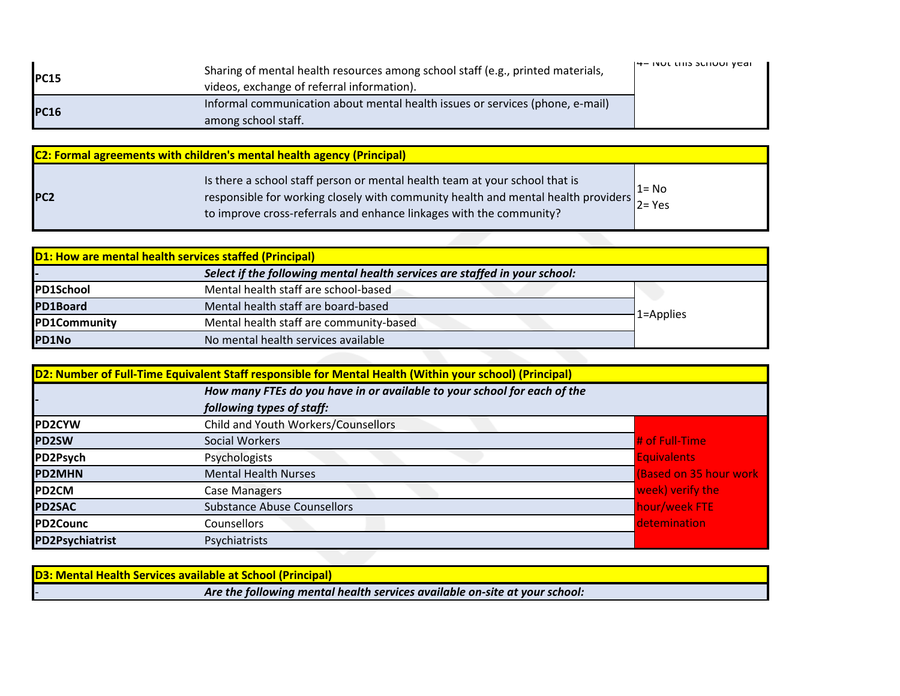| IPC15       | Sharing of mental health resources among school staff (e.g., printed materials,<br>videos, exchange of referral information). | $14-110111113311100111001$ |
|-------------|-------------------------------------------------------------------------------------------------------------------------------|----------------------------|
| <b>PC16</b> | Informal communication about mental health issues or services (phone, e-mail)<br>among school staff.                          |                            |

| <b>C2: Formal agreements with children's mental health agency (Principal)</b> |                                                                                                                                                                                                                                                                                         |          |
|-------------------------------------------------------------------------------|-----------------------------------------------------------------------------------------------------------------------------------------------------------------------------------------------------------------------------------------------------------------------------------------|----------|
| <b>PC2</b>                                                                    | Is there a school staff person or mental health team at your school that is<br>responsible for working closely with community health and mental health providers $\begin{bmatrix} 2 \\ 2 \\ 2 \end{bmatrix}$ Yes<br>to improve cross-referrals and enhance linkages with the community? | $1 = No$ |

|                     | <b>D1: How are mental health services staffed (Principal)</b>              |           |
|---------------------|----------------------------------------------------------------------------|-----------|
|                     | Select if the following mental health services are staffed in your school: |           |
| <b>PD1School</b>    | Mental health staff are school-based                                       |           |
| PD1Board            | Mental health staff are board-based                                        |           |
| <b>PD1Community</b> | Mental health staff are community-based                                    | 1=Applies |
| PD1No               | No mental health services available                                        |           |

|                        | How many FTEs do you have in or available to your school for each of the |                         |
|------------------------|--------------------------------------------------------------------------|-------------------------|
|                        | following types of staff:                                                |                         |
| <b>PD2CYW</b>          | Child and Youth Workers/Counsellors                                      |                         |
| <b>PD2SW</b>           | Social Workers                                                           | # of Full-Time          |
| PD2Psych               | Psychologists                                                            | <b>Equivalents</b>      |
| <b>PD2MHN</b>          | <b>Mental Health Nurses</b>                                              | (Based on 35 hour work) |
| <b>PD2CM</b>           | <b>Case Managers</b>                                                     | week) verify the        |
| <b>PD2SAC</b>          | <b>Substance Abuse Counsellors</b>                                       | hour/week FTE           |
| PD2Counc               | Counsellors                                                              | detemination            |
| <b>PD2Psychiatrist</b> | Psychiatrists                                                            |                         |

| <b>D3: Mental Health Services available at School (Principal)</b>          |  |
|----------------------------------------------------------------------------|--|
| Are the following mental health services available on-site at your school: |  |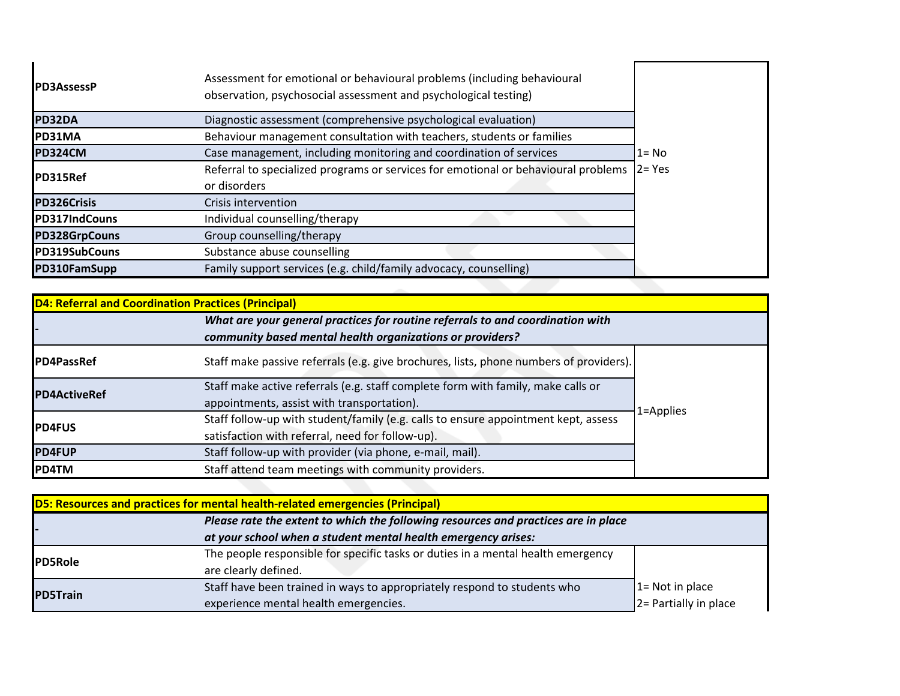| <b>PD3AssessP</b>  | Assessment for emotional or behavioural problems (including behavioural<br>observation, psychosocial assessment and psychological testing) |           |  |
|--------------------|--------------------------------------------------------------------------------------------------------------------------------------------|-----------|--|
| PD32DA             | Diagnostic assessment (comprehensive psychological evaluation)                                                                             |           |  |
| PD31MA             | Behaviour management consultation with teachers, students or families                                                                      |           |  |
| PD324CM            | Case management, including monitoring and coordination of services                                                                         | 1= No     |  |
| PD315Ref           | Referral to specialized programs or services for emotional or behavioural problems                                                         | $2 = Yes$ |  |
|                    | or disorders                                                                                                                               |           |  |
| <b>PD326Crisis</b> | Crisis intervention                                                                                                                        |           |  |
| PD317IndCouns      | Individual counselling/therapy                                                                                                             |           |  |
| PD328GrpCouns      | Group counselling/therapy                                                                                                                  |           |  |
| PD319SubCouns      | Substance abuse counselling                                                                                                                |           |  |
| PD310FamSupp       | Family support services (e.g. child/family advocacy, counselling)                                                                          |           |  |
|                    |                                                                                                                                            |           |  |

| <b>D4: Referral and Coordination Practices (Principal)</b> |                                                                                                                                             |           |
|------------------------------------------------------------|---------------------------------------------------------------------------------------------------------------------------------------------|-----------|
|                                                            | What are your general practices for routine referrals to and coordination with<br>community based mental health organizations or providers? |           |
| <b>IPD4PassRef</b>                                         | Staff make passive referrals (e.g. give brochures, lists, phone numbers of providers).                                                      |           |
|                                                            | Staff make active referrals (e.g. staff complete form with family, make calls or                                                            |           |
| <b>PD4ActiveRef</b>                                        | appointments, assist with transportation).                                                                                                  | 1=Applies |
| <b>PD4FUS</b>                                              | Staff follow-up with student/family (e.g. calls to ensure appointment kept, assess                                                          |           |
|                                                            | satisfaction with referral, need for follow-up).                                                                                            |           |
| <b>PD4FUP</b>                                              | Staff follow-up with provider (via phone, e-mail, mail).                                                                                    |           |
| <b>PD4TM</b>                                               | Staff attend team meetings with community providers.                                                                                        |           |

| <b>D5: Resources and practices for mental health-related emergencies (Principal)</b> |                                                                                    |                         |  |
|--------------------------------------------------------------------------------------|------------------------------------------------------------------------------------|-------------------------|--|
|                                                                                      | Please rate the extent to which the following resources and practices are in place |                         |  |
|                                                                                      | at your school when a student mental health emergency arises:                      |                         |  |
| <b>PD5Role</b>                                                                       | The people responsible for specific tasks or duties in a mental health emergency   |                         |  |
|                                                                                      | are clearly defined.                                                               |                         |  |
| <b>PD5Train</b>                                                                      | Staff have been trained in ways to appropriately respond to students who           | $1 = Not in place$      |  |
|                                                                                      | experience mental health emergencies.                                              | $ 2$ Partially in place |  |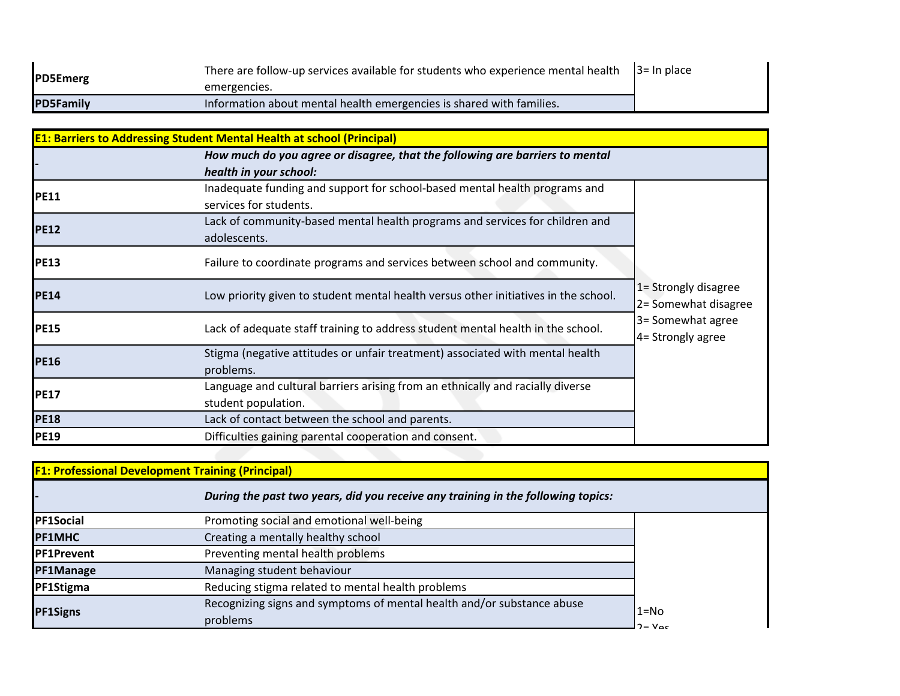| <b>PD5Emerg</b>  | There are follow-up services available for students who experience mental health $\vert$ 3= In place |  |
|------------------|------------------------------------------------------------------------------------------------------|--|
|                  | emergencies.                                                                                         |  |
| <b>PD5Family</b> | Information about mental health emergencies is shared with families.                                 |  |

| <b>E1: Barriers to Addressing Student Mental Health at school (Principal)</b> |                                                                                                       |                                              |  |
|-------------------------------------------------------------------------------|-------------------------------------------------------------------------------------------------------|----------------------------------------------|--|
|                                                                               | How much do you agree or disagree, that the following are barriers to mental                          |                                              |  |
|                                                                               | health in your school:                                                                                |                                              |  |
| <b>PE11</b>                                                                   | Inadequate funding and support for school-based mental health programs and<br>services for students.  |                                              |  |
| <b>PE12</b>                                                                   | Lack of community-based mental health programs and services for children and<br>adolescents.          |                                              |  |
| <b>PE13</b>                                                                   | Failure to coordinate programs and services between school and community.                             |                                              |  |
| <b>PE14</b>                                                                   | Low priority given to student mental health versus other initiatives in the school.                   | 1= Strongly disagree<br>2= Somewhat disagree |  |
| <b>PE15</b>                                                                   | Lack of adequate staff training to address student mental health in the school.                       | 3= Somewhat agree<br>4= Strongly agree       |  |
| <b>PE16</b>                                                                   | Stigma (negative attitudes or unfair treatment) associated with mental health<br>problems.            |                                              |  |
| <b>PE17</b>                                                                   | Language and cultural barriers arising from an ethnically and racially diverse<br>student population. |                                              |  |
| <b>PE18</b>                                                                   | Lack of contact between the school and parents.                                                       |                                              |  |
| <b>PE19</b>                                                                   | Difficulties gaining parental cooperation and consent.                                                |                                              |  |

| F1: Professional Development Training (Principal) |                                                                                    |                              |
|---------------------------------------------------|------------------------------------------------------------------------------------|------------------------------|
|                                                   | During the past two years, did you receive any training in the following topics:   |                              |
| <b>PF1Social</b>                                  | Promoting social and emotional well-being                                          |                              |
| <b>PF1MHC</b>                                     | Creating a mentally healthy school                                                 |                              |
| <b>PF1Prevent</b>                                 | Preventing mental health problems                                                  |                              |
| PF1Manage                                         | Managing student behaviour                                                         |                              |
| PF1Stigma                                         | Reducing stigma related to mental health problems                                  |                              |
| <b>PF1Signs</b>                                   | Recognizing signs and symptoms of mental health and/or substance abuse<br>problems | $1 = No$<br>$2 - V_{\alpha}$ |